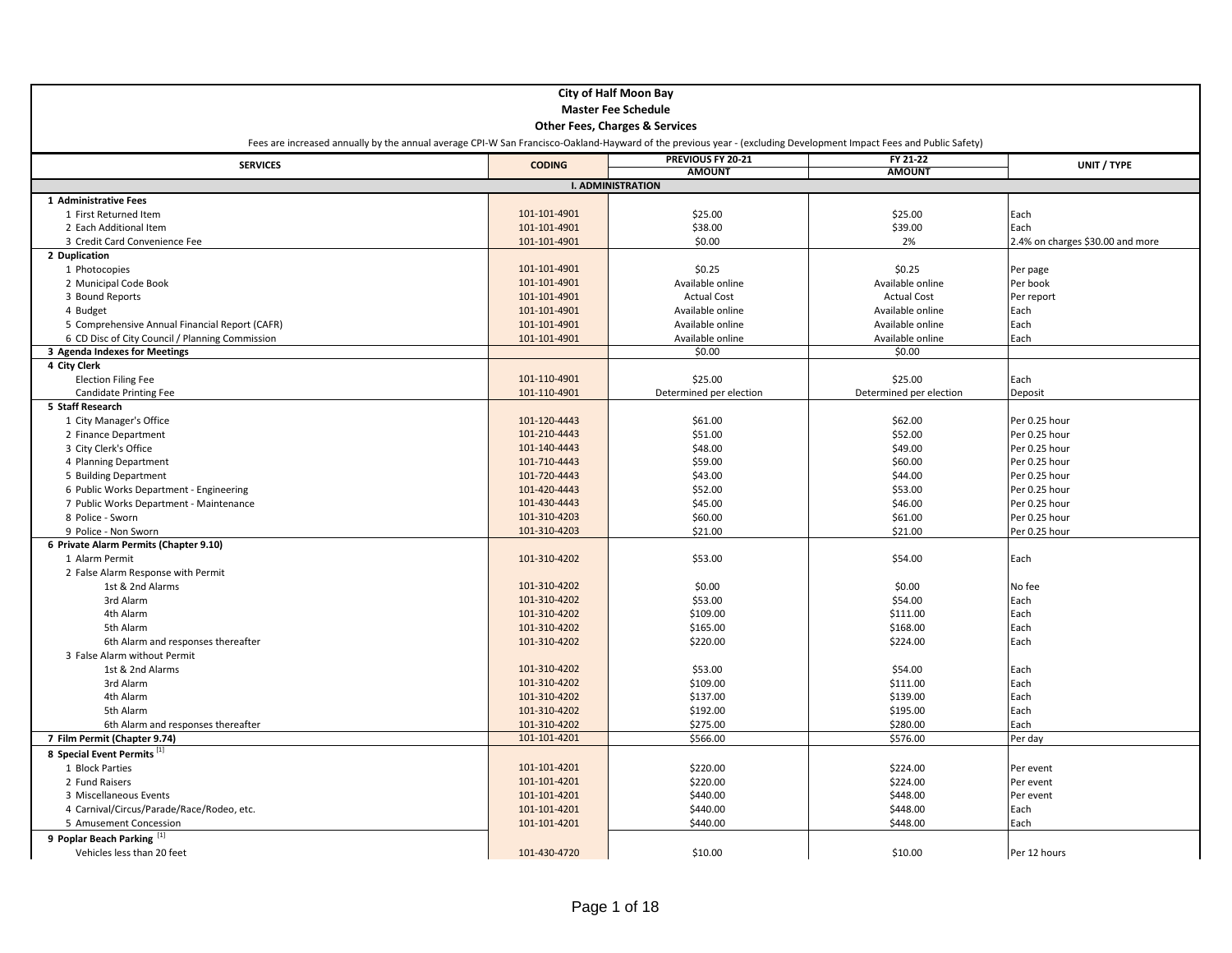| <b>City of Half Moon Bay</b>                                                                                                                                       |               |                                           |                            |                                  |  |
|--------------------------------------------------------------------------------------------------------------------------------------------------------------------|---------------|-------------------------------------------|----------------------------|----------------------------------|--|
| <b>Master Fee Schedule</b>                                                                                                                                         |               |                                           |                            |                                  |  |
|                                                                                                                                                                    |               | <b>Other Fees, Charges &amp; Services</b> |                            |                                  |  |
| Fees are increased annually by the annual average CPI-W San Francisco-Oakland-Hayward of the previous year - (excluding Development Impact Fees and Public Safety) |               |                                           |                            |                                  |  |
| <b>SERVICES</b>                                                                                                                                                    | <b>CODING</b> | PREVIOUS FY 20-21                         | FY 21-22                   | UNIT / TYPE                      |  |
|                                                                                                                                                                    |               | <b>AMOUNT</b>                             | <b>AMOUNT</b>              |                                  |  |
|                                                                                                                                                                    |               | <b>I. ADMINISTRATION</b>                  |                            |                                  |  |
| 1 Administrative Fees                                                                                                                                              |               |                                           |                            |                                  |  |
| 1 First Returned Item                                                                                                                                              | 101-101-4901  | \$25.00                                   | \$25.00                    | Each                             |  |
| 2 Each Additional Item                                                                                                                                             | 101-101-4901  | \$38.00                                   | \$39.00                    | Each                             |  |
| 3 Credit Card Convenience Fee                                                                                                                                      | 101-101-4901  | \$0.00                                    | 2%                         | 2.4% on charges \$30.00 and more |  |
| 2 Duplication                                                                                                                                                      |               |                                           |                            |                                  |  |
| 1 Photocopies                                                                                                                                                      | 101-101-4901  | \$0.25                                    | \$0.25                     | Per page                         |  |
| 2 Municipal Code Book                                                                                                                                              | 101-101-4901  | Available online                          | Available online           | Per book                         |  |
| 3 Bound Reports                                                                                                                                                    | 101-101-4901  | <b>Actual Cost</b>                        | <b>Actual Cost</b>         | Per report                       |  |
| 4 Budget                                                                                                                                                           | 101-101-4901  | Available online                          | Available online           | Each                             |  |
| 5 Comprehensive Annual Financial Report (CAFR)                                                                                                                     | 101-101-4901  | Available online                          | Available online           | Each                             |  |
| 6 CD Disc of City Council / Planning Commission<br>3 Agenda Indexes for Meetings                                                                                   | 101-101-4901  | Available online<br>\$0.00                | Available online<br>\$0.00 | Each                             |  |
| 4 City Clerk                                                                                                                                                       |               |                                           |                            |                                  |  |
| <b>Election Filing Fee</b>                                                                                                                                         | 101-110-4901  | \$25.00                                   | \$25.00                    | Each                             |  |
| <b>Candidate Printing Fee</b>                                                                                                                                      | 101-110-4901  | Determined per election                   | Determined per election    | Deposit                          |  |
| 5 Staff Research                                                                                                                                                   |               |                                           |                            |                                  |  |
| 1 City Manager's Office                                                                                                                                            | 101-120-4443  | \$61.00                                   | \$62.00                    | Per 0.25 hour                    |  |
| 2 Finance Department                                                                                                                                               | 101-210-4443  | \$51.00                                   | \$52.00                    | Per 0.25 hour                    |  |
| 3 City Clerk's Office                                                                                                                                              | 101-140-4443  | \$48.00                                   | \$49.00                    | Per 0.25 hour                    |  |
| 4 Planning Department                                                                                                                                              | 101-710-4443  | \$59.00                                   | \$60.00                    | Per 0.25 hour                    |  |
| 5 Building Department                                                                                                                                              | 101-720-4443  | \$43.00                                   | \$44.00                    | Per 0.25 hour                    |  |
| 6 Public Works Department - Engineering                                                                                                                            | 101-420-4443  | \$52.00                                   | \$53.00                    | Per 0.25 hour                    |  |
| 7 Public Works Department - Maintenance                                                                                                                            | 101-430-4443  | \$45.00                                   | \$46.00                    | Per 0.25 hour                    |  |
| 8 Police - Sworn                                                                                                                                                   | 101-310-4203  | \$60.00                                   | \$61.00                    | Per 0.25 hour                    |  |
| 9 Police - Non Sworn                                                                                                                                               | 101-310-4203  | \$21.00                                   | \$21.00                    | Per 0.25 hour                    |  |
| 6 Private Alarm Permits (Chapter 9.10)                                                                                                                             |               |                                           |                            |                                  |  |
| 1 Alarm Permit                                                                                                                                                     | 101-310-4202  | \$53.00                                   | \$54.00                    | Each                             |  |
| 2 False Alarm Response with Permit                                                                                                                                 |               |                                           |                            |                                  |  |
| 1st & 2nd Alarms                                                                                                                                                   | 101-310-4202  | \$0.00                                    | \$0.00                     | No fee                           |  |
| 3rd Alarm                                                                                                                                                          | 101-310-4202  | \$53.00                                   | \$54.00                    | Each                             |  |
| 4th Alarm                                                                                                                                                          | 101-310-4202  | \$109.00                                  | \$111.00                   | Each                             |  |
| 5th Alarm                                                                                                                                                          | 101-310-4202  | \$165.00                                  | \$168.00                   | Each                             |  |
| 6th Alarm and responses thereafter                                                                                                                                 | 101-310-4202  | \$220.00                                  | \$224.00                   | Each                             |  |
| 3 False Alarm without Permit                                                                                                                                       |               |                                           |                            |                                  |  |
| 1st & 2nd Alarms                                                                                                                                                   | 101-310-4202  | \$53.00                                   | \$54.00                    | Each                             |  |
| 3rd Alarm                                                                                                                                                          | 101-310-4202  | \$109.00                                  | \$111.00                   | Each                             |  |
| 4th Alarm                                                                                                                                                          | 101-310-4202  | \$137.00                                  | \$139.00                   | Each                             |  |
| 5th Alarm                                                                                                                                                          | 101-310-4202  | \$192.00                                  | \$195.00                   | Each                             |  |
| 6th Alarm and responses thereafter                                                                                                                                 | 101-310-4202  | \$275.00                                  | \$280.00                   | Each                             |  |
| 7 Film Permit (Chapter 9.74)                                                                                                                                       | 101-101-4201  | \$566.00                                  | \$576.00                   | Per day                          |  |
| 8 Special Event Permits <sup>[1]</sup>                                                                                                                             |               |                                           |                            |                                  |  |
| 1 Block Parties                                                                                                                                                    | 101-101-4201  | \$220.00                                  | \$224.00                   | Per event                        |  |
| 2 Fund Raisers                                                                                                                                                     | 101-101-4201  | \$220.00                                  | \$224.00                   | Per event                        |  |
| 3 Miscellaneous Events                                                                                                                                             | 101-101-4201  | \$440.00                                  | \$448.00                   | Per event                        |  |
| 4 Carnival/Circus/Parade/Race/Rodeo, etc.                                                                                                                          | 101-101-4201  | \$440.00                                  | \$448.00                   | Each                             |  |
| 5 Amusement Concession                                                                                                                                             | 101-101-4201  | \$440.00                                  | \$448.00                   | Each                             |  |
| 9 Poplar Beach Parking [1]                                                                                                                                         |               |                                           |                            |                                  |  |
| Vehicles less than 20 feet                                                                                                                                         | 101-430-4720  | \$10.00                                   | \$10.00                    | Per 12 hours                     |  |
|                                                                                                                                                                    |               |                                           |                            |                                  |  |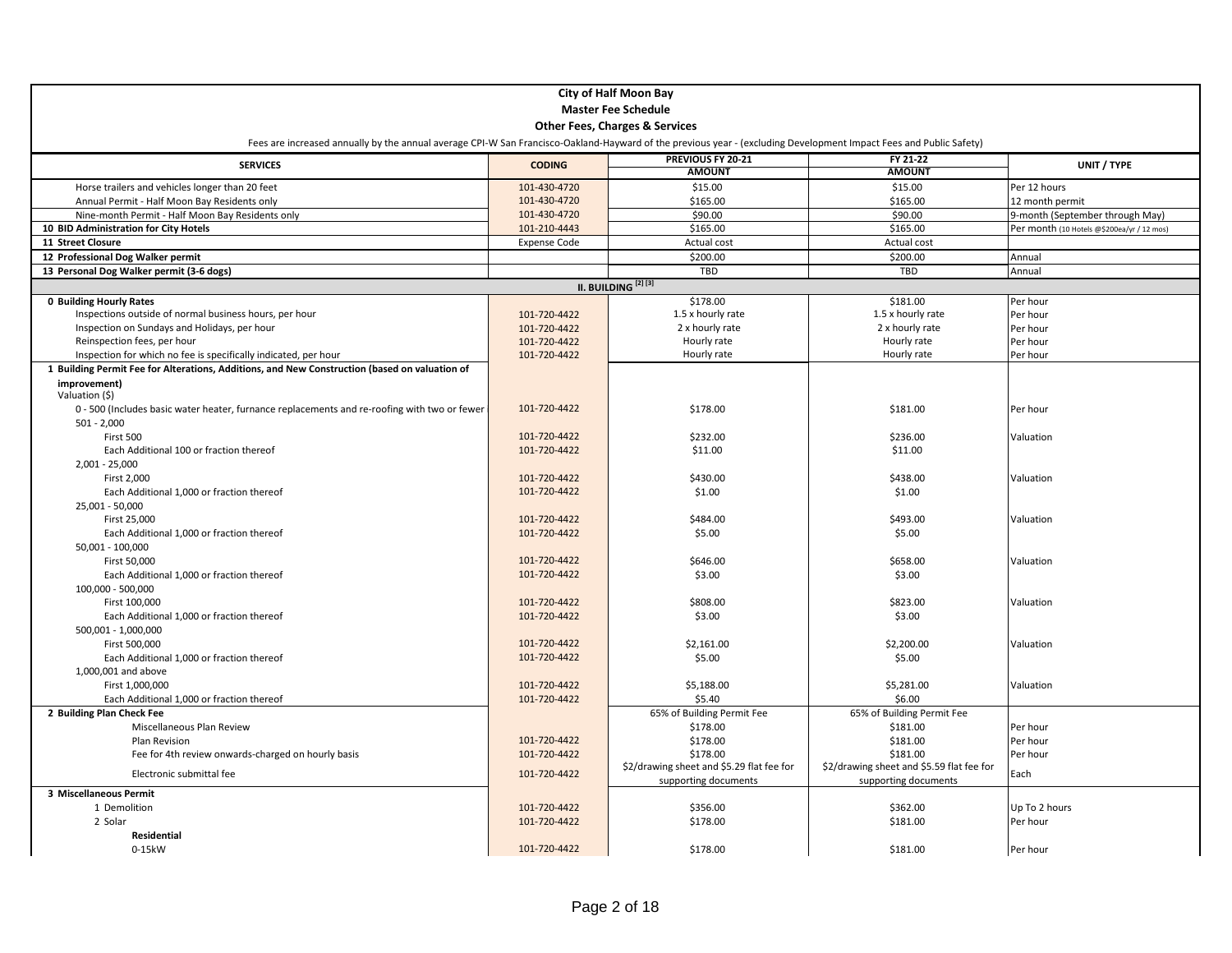|                                                                                                                                                                    | <b>City of Half Moon Bay</b> |                                           |                                           |                                            |  |
|--------------------------------------------------------------------------------------------------------------------------------------------------------------------|------------------------------|-------------------------------------------|-------------------------------------------|--------------------------------------------|--|
| <b>Master Fee Schedule</b>                                                                                                                                         |                              |                                           |                                           |                                            |  |
|                                                                                                                                                                    |                              |                                           |                                           |                                            |  |
|                                                                                                                                                                    |                              | <b>Other Fees, Charges &amp; Services</b> |                                           |                                            |  |
| Fees are increased annually by the annual average CPI-W San Francisco-Oakland-Hayward of the previous year - (excluding Development Impact Fees and Public Safety) |                              |                                           |                                           |                                            |  |
| <b>SERVICES</b>                                                                                                                                                    | <b>CODING</b>                | PREVIOUS FY 20-21                         | FY 21-22                                  | UNIT / TYPE                                |  |
|                                                                                                                                                                    |                              | <b>AMOUNT</b>                             | <b>AMOUNT</b>                             |                                            |  |
| Horse trailers and vehicles longer than 20 feet                                                                                                                    | 101-430-4720                 | \$15.00                                   | \$15.00                                   | Per 12 hours                               |  |
| Annual Permit - Half Moon Bay Residents only                                                                                                                       | 101-430-4720                 | \$165.00                                  | \$165.00                                  | 12 month permit                            |  |
| Nine-month Permit - Half Moon Bay Residents only                                                                                                                   | 101-430-4720                 | \$90.00                                   | \$90.00                                   | 9-month (September through May)            |  |
| 10 BID Administration for City Hotels                                                                                                                              | 101-210-4443                 | \$165.00                                  | \$165.00                                  | Per month (10 Hotels @\$200ea/yr / 12 mos) |  |
| 11 Street Closure                                                                                                                                                  | <b>Expense Code</b>          | Actual cost                               | Actual cost                               |                                            |  |
| 12 Professional Dog Walker permit                                                                                                                                  |                              | \$200.00                                  | \$200.00                                  | Annual                                     |  |
| 13 Personal Dog Walker permit (3-6 dogs)                                                                                                                           |                              | <b>TBD</b>                                | TBD                                       | Annual                                     |  |
|                                                                                                                                                                    |                              | II. BUILDING <sup>[2][3]</sup>            |                                           |                                            |  |
| <b>0 Building Hourly Rates</b>                                                                                                                                     |                              | \$178.00                                  | \$181.00                                  | Per hour                                   |  |
| Inspections outside of normal business hours, per hour                                                                                                             | 101-720-4422                 | 1.5 x hourly rate                         | 1.5 x hourly rate                         | Per hour                                   |  |
| Inspection on Sundays and Holidays, per hour                                                                                                                       | 101-720-4422                 | 2 x hourly rate                           | 2 x hourly rate                           | Per hour                                   |  |
| Reinspection fees, per hour                                                                                                                                        | 101-720-4422                 | Hourly rate                               | Hourly rate                               | Per hour                                   |  |
| Inspection for which no fee is specifically indicated, per hour                                                                                                    | 101-720-4422                 | Hourly rate                               | Hourly rate                               | Per hour                                   |  |
| 1 Building Permit Fee for Alterations, Additions, and New Construction (based on valuation of                                                                      |                              |                                           |                                           |                                            |  |
| improvement)                                                                                                                                                       |                              |                                           |                                           |                                            |  |
| Valuation (\$)                                                                                                                                                     |                              |                                           |                                           |                                            |  |
| 0 - 500 (Includes basic water heater, furnance replacements and re-roofing with two or fewer                                                                       | 101-720-4422                 | \$178.00                                  | \$181.00                                  | Per hour                                   |  |
| $501 - 2,000$                                                                                                                                                      |                              |                                           |                                           |                                            |  |
| First 500                                                                                                                                                          | 101-720-4422                 | \$232.00                                  | \$236.00                                  | Valuation                                  |  |
| Each Additional 100 or fraction thereof                                                                                                                            | 101-720-4422                 | \$11.00                                   | \$11.00                                   |                                            |  |
| $2.001 - 25.000$                                                                                                                                                   |                              |                                           |                                           |                                            |  |
| First 2,000                                                                                                                                                        | 101-720-4422                 | \$430.00                                  | \$438.00                                  | Valuation                                  |  |
| Each Additional 1,000 or fraction thereof                                                                                                                          | 101-720-4422                 | \$1.00                                    | \$1.00                                    |                                            |  |
| 25,001 - 50,000                                                                                                                                                    |                              |                                           |                                           |                                            |  |
| First 25,000                                                                                                                                                       | 101-720-4422                 | \$484.00                                  | \$493.00                                  | Valuation                                  |  |
| Each Additional 1,000 or fraction thereof                                                                                                                          | 101-720-4422                 | \$5.00                                    | \$5.00                                    |                                            |  |
| 50,001 - 100,000                                                                                                                                                   |                              |                                           |                                           |                                            |  |
| First 50,000                                                                                                                                                       | 101-720-4422                 | \$646.00                                  | \$658.00                                  | Valuation                                  |  |
| Each Additional 1,000 or fraction thereof                                                                                                                          | 101-720-4422                 | \$3.00                                    | \$3.00                                    |                                            |  |
| 100,000 - 500,000                                                                                                                                                  |                              |                                           |                                           |                                            |  |
| First 100,000                                                                                                                                                      | 101-720-4422                 | \$808.00                                  | \$823.00                                  | Valuation                                  |  |
| Each Additional 1,000 or fraction thereof                                                                                                                          | 101-720-4422                 | \$3.00                                    | \$3.00                                    |                                            |  |
| 500,001 - 1,000,000                                                                                                                                                |                              |                                           |                                           |                                            |  |
| First 500,000                                                                                                                                                      | 101-720-4422                 | \$2,161.00                                | \$2,200.00                                | Valuation                                  |  |
| Each Additional 1,000 or fraction thereof                                                                                                                          | 101-720-4422                 | \$5.00                                    | \$5.00                                    |                                            |  |
| 1,000,001 and above                                                                                                                                                |                              |                                           |                                           |                                            |  |
| First 1,000,000                                                                                                                                                    | 101-720-4422                 | \$5,188.00                                | \$5,281.00                                | Valuation                                  |  |
| Each Additional 1,000 or fraction thereof                                                                                                                          | 101-720-4422                 | \$5.40                                    | \$6.00                                    |                                            |  |
| 2 Building Plan Check Fee                                                                                                                                          |                              | 65% of Building Permit Fee                | 65% of Building Permit Fee                |                                            |  |
| Miscellaneous Plan Review                                                                                                                                          |                              | \$178.00                                  | \$181.00                                  | Per hour                                   |  |
| Plan Revision                                                                                                                                                      | 101-720-4422                 | \$178.00                                  | \$181.00                                  | Per hour                                   |  |
| Fee for 4th review onwards-charged on hourly basis                                                                                                                 | 101-720-4422                 | \$178.00                                  | \$181.00                                  | Per hour                                   |  |
|                                                                                                                                                                    |                              | \$2/drawing sheet and \$5.29 flat fee for | \$2/drawing sheet and \$5.59 flat fee for |                                            |  |
| Electronic submittal fee                                                                                                                                           | 101-720-4422                 | supporting documents                      | supporting documents                      | Each                                       |  |
| 3 Miscellaneous Permit                                                                                                                                             |                              |                                           |                                           |                                            |  |
| 1 Demolition                                                                                                                                                       | 101-720-4422                 | \$356.00                                  | \$362.00                                  | Up To 2 hours                              |  |
| 2 Solar                                                                                                                                                            | 101-720-4422                 | \$178.00                                  | \$181.00                                  | Per hour                                   |  |
| Residential                                                                                                                                                        |                              |                                           |                                           |                                            |  |
| 0-15kW                                                                                                                                                             | 101-720-4422                 | \$178.00                                  | \$181.00                                  | Per hour                                   |  |
|                                                                                                                                                                    |                              |                                           |                                           |                                            |  |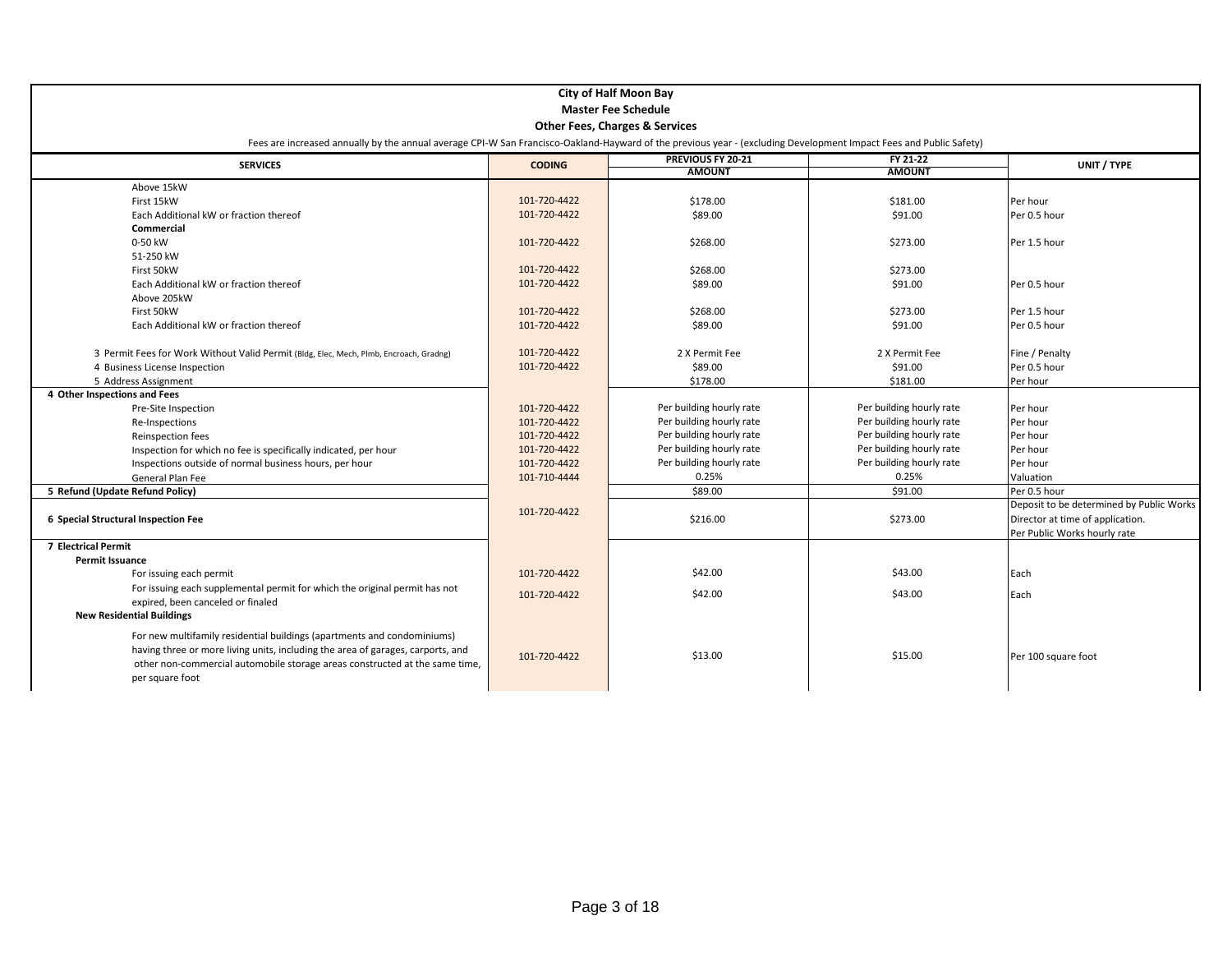|                                                                                                                                                                    |                            | <b>City of Half Moon Bay</b>       |                           |                                          |  |  |
|--------------------------------------------------------------------------------------------------------------------------------------------------------------------|----------------------------|------------------------------------|---------------------------|------------------------------------------|--|--|
|                                                                                                                                                                    | <b>Master Fee Schedule</b> |                                    |                           |                                          |  |  |
| <b>Other Fees, Charges &amp; Services</b>                                                                                                                          |                            |                                    |                           |                                          |  |  |
| Fees are increased annually by the annual average CPI-W San Francisco-Oakland-Hayward of the previous year - (excluding Development Impact Fees and Public Safety) |                            |                                    |                           |                                          |  |  |
| <b>SERVICES</b>                                                                                                                                                    | <b>CODING</b>              | PREVIOUS FY 20-21<br><b>AMOUNT</b> | FY 21-22<br><b>AMOUNT</b> | UNIT / TYPE                              |  |  |
| Above 15kW                                                                                                                                                         |                            |                                    |                           |                                          |  |  |
| First 15kW                                                                                                                                                         | 101-720-4422               | \$178.00                           | \$181.00                  | Per hour                                 |  |  |
| Each Additional kW or fraction thereof                                                                                                                             | 101-720-4422               | \$89.00                            | \$91.00                   | Per 0.5 hour                             |  |  |
| <b>Commercial</b>                                                                                                                                                  |                            |                                    |                           |                                          |  |  |
| 0-50 kW                                                                                                                                                            | 101-720-4422               | \$268.00                           | \$273.00                  | Per 1.5 hour                             |  |  |
| 51-250 kW                                                                                                                                                          |                            |                                    |                           |                                          |  |  |
| First 50kW                                                                                                                                                         | 101-720-4422               | \$268.00                           | \$273.00                  |                                          |  |  |
| Each Additional kW or fraction thereof                                                                                                                             | 101-720-4422               | \$89.00                            | \$91.00                   | Per 0.5 hour                             |  |  |
| Above 205kW                                                                                                                                                        |                            |                                    |                           |                                          |  |  |
| First 50kW                                                                                                                                                         | 101-720-4422               | \$268.00                           | \$273.00                  | Per 1.5 hour                             |  |  |
| Each Additional kW or fraction thereof                                                                                                                             | 101-720-4422               | \$89.00                            | \$91.00                   | Per 0.5 hour                             |  |  |
|                                                                                                                                                                    |                            |                                    |                           |                                          |  |  |
| 3 Permit Fees for Work Without Valid Permit (Bldg, Elec, Mech, Plmb, Encroach, Gradng)                                                                             | 101-720-4422               | 2 X Permit Fee                     | 2 X Permit Fee            | Fine / Penalty                           |  |  |
| 4 Business License Inspection                                                                                                                                      | 101-720-4422               | \$89.00                            | \$91.00                   | Per 0.5 hour                             |  |  |
| 5 Address Assignment                                                                                                                                               |                            | \$178.00                           | \$181.00                  | Per hour                                 |  |  |
| 4 Other Inspections and Fees                                                                                                                                       |                            |                                    |                           |                                          |  |  |
| Pre-Site Inspection                                                                                                                                                | 101-720-4422               | Per building hourly rate           | Per building hourly rate  | Per hour                                 |  |  |
| Re-Inspections                                                                                                                                                     | 101-720-4422               | Per building hourly rate           | Per building hourly rate  | Per hour                                 |  |  |
| Reinspection fees                                                                                                                                                  | 101-720-4422               | Per building hourly rate           | Per building hourly rate  | Per hour                                 |  |  |
| Inspection for which no fee is specifically indicated, per hour                                                                                                    | 101-720-4422               | Per building hourly rate           | Per building hourly rate  | Per hour                                 |  |  |
| Inspections outside of normal business hours, per hour                                                                                                             | 101-720-4422               | Per building hourly rate           | Per building hourly rate  | Per hour                                 |  |  |
| General Plan Fee                                                                                                                                                   | 101-710-4444               | 0.25%                              | 0.25%                     | Valuation                                |  |  |
| 5 Refund (Update Refund Policy)                                                                                                                                    |                            | \$89.00                            | \$91.00                   | Per 0.5 hour                             |  |  |
|                                                                                                                                                                    | 101-720-4422               |                                    |                           | Deposit to be determined by Public Works |  |  |
| 6 Special Structural Inspection Fee                                                                                                                                |                            | \$216.00                           | \$273.00                  | Director at time of application.         |  |  |
|                                                                                                                                                                    |                            |                                    |                           | Per Public Works hourly rate             |  |  |
| <b>7 Electrical Permit</b>                                                                                                                                         |                            |                                    |                           |                                          |  |  |
| Permit Issuance                                                                                                                                                    |                            |                                    |                           |                                          |  |  |
| For issuing each permit                                                                                                                                            | 101-720-4422               | \$42.00                            | \$43.00                   | Each                                     |  |  |
| For issuing each supplemental permit for which the original permit has not                                                                                         | 101-720-4422               | \$42.00                            | \$43.00                   | Each                                     |  |  |
| expired, been canceled or finaled                                                                                                                                  |                            |                                    |                           |                                          |  |  |
| <b>New Residential Buildings</b>                                                                                                                                   |                            |                                    |                           |                                          |  |  |
| For new multifamily residential buildings (apartments and condominiums)                                                                                            |                            |                                    |                           |                                          |  |  |
| having three or more living units, including the area of garages, carports, and                                                                                    | 101-720-4422               | \$13.00                            | \$15.00                   | Per 100 square foot                      |  |  |
| other non-commercial automobile storage areas constructed at the same time,                                                                                        |                            |                                    |                           |                                          |  |  |
| per square foot                                                                                                                                                    |                            |                                    |                           |                                          |  |  |
|                                                                                                                                                                    |                            |                                    |                           |                                          |  |  |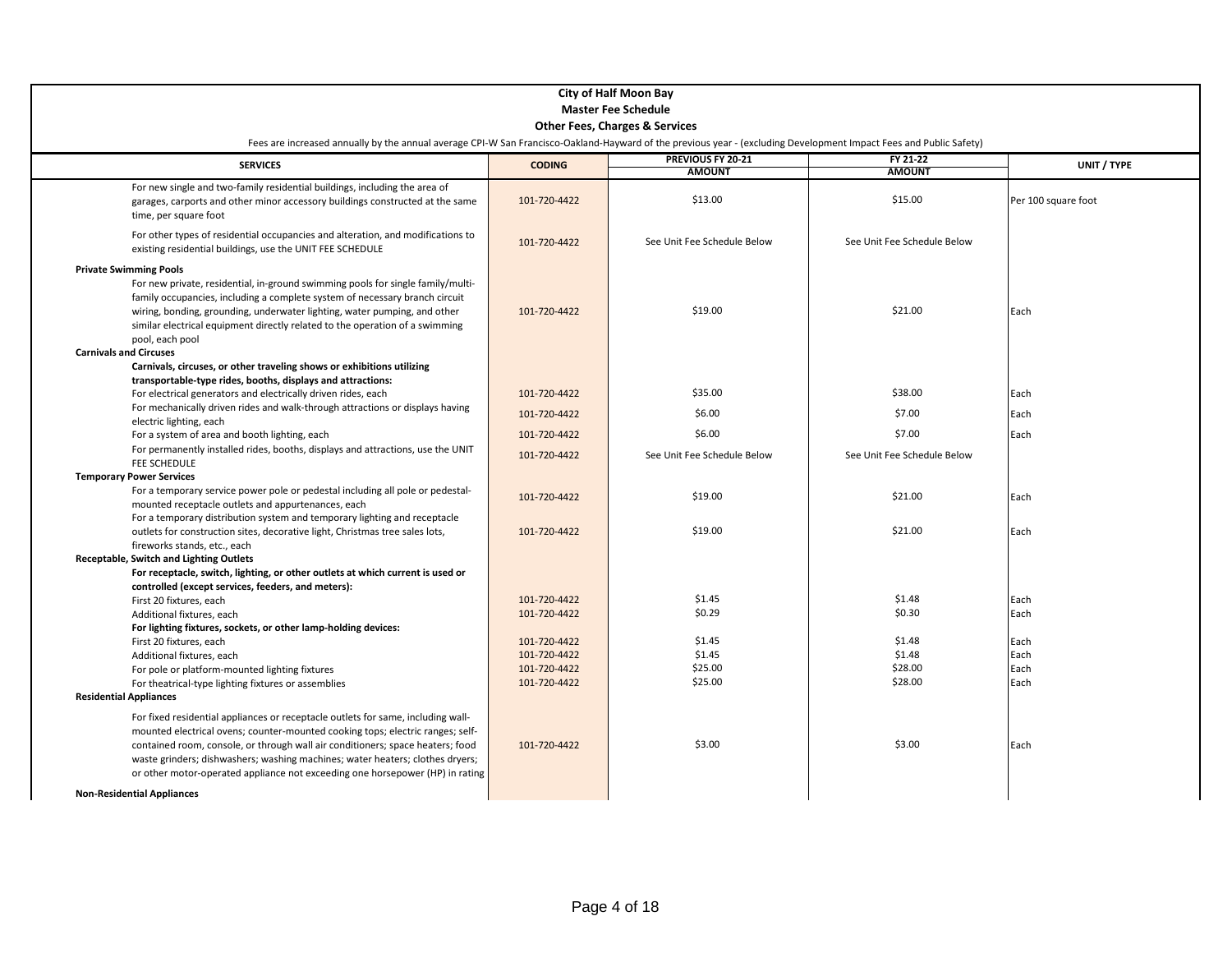| <b>City of Half Moon Bay</b>                                                                                                                                                                                                                                                                                                                                                                                                                                                               |                            |                                           |                             |                     |  |  |
|--------------------------------------------------------------------------------------------------------------------------------------------------------------------------------------------------------------------------------------------------------------------------------------------------------------------------------------------------------------------------------------------------------------------------------------------------------------------------------------------|----------------------------|-------------------------------------------|-----------------------------|---------------------|--|--|
|                                                                                                                                                                                                                                                                                                                                                                                                                                                                                            | <b>Master Fee Schedule</b> |                                           |                             |                     |  |  |
|                                                                                                                                                                                                                                                                                                                                                                                                                                                                                            |                            | <b>Other Fees, Charges &amp; Services</b> |                             |                     |  |  |
| Fees are increased annually by the annual average CPI-W San Francisco-Oakland-Hayward of the previous year - (excluding Development Impact Fees and Public Safety)                                                                                                                                                                                                                                                                                                                         |                            |                                           |                             |                     |  |  |
| <b>SERVICES</b>                                                                                                                                                                                                                                                                                                                                                                                                                                                                            | <b>CODING</b>              | PREVIOUS FY 20-21                         | FY 21-22                    | UNIT / TYPE         |  |  |
|                                                                                                                                                                                                                                                                                                                                                                                                                                                                                            |                            | <b>AMOUNT</b>                             | <b>AMOUNT</b>               |                     |  |  |
| For new single and two-family residential buildings, including the area of<br>garages, carports and other minor accessory buildings constructed at the same<br>time, per square foot                                                                                                                                                                                                                                                                                                       | 101-720-4422               | \$13.00                                   | \$15.00                     | Per 100 square foot |  |  |
| For other types of residential occupancies and alteration, and modifications to<br>existing residential buildings, use the UNIT FEE SCHEDULE                                                                                                                                                                                                                                                                                                                                               | 101-720-4422               | See Unit Fee Schedule Below               | See Unit Fee Schedule Below |                     |  |  |
| <b>Private Swimming Pools</b><br>For new private, residential, in-ground swimming pools for single family/multi-<br>family occupancies, including a complete system of necessary branch circuit<br>wiring, bonding, grounding, underwater lighting, water pumping, and other<br>similar electrical equipment directly related to the operation of a swimming<br>pool, each pool<br><b>Carnivals and Circuses</b><br>Carnivals, circuses, or other traveling shows or exhibitions utilizing | 101-720-4422               | \$19.00                                   | \$21.00                     | Each                |  |  |
| transportable-type rides, booths, displays and attractions:                                                                                                                                                                                                                                                                                                                                                                                                                                |                            |                                           |                             |                     |  |  |
| For electrical generators and electrically driven rides, each                                                                                                                                                                                                                                                                                                                                                                                                                              | 101-720-4422               | \$35.00                                   | \$38.00                     | Each                |  |  |
| For mechanically driven rides and walk-through attractions or displays having                                                                                                                                                                                                                                                                                                                                                                                                              | 101-720-4422               | \$6.00                                    | \$7.00                      | Each                |  |  |
| electric lighting, each                                                                                                                                                                                                                                                                                                                                                                                                                                                                    |                            |                                           |                             |                     |  |  |
| For a system of area and booth lighting, each                                                                                                                                                                                                                                                                                                                                                                                                                                              | 101-720-4422               | \$6.00                                    | \$7.00                      | Each                |  |  |
| For permanently installed rides, booths, displays and attractions, use the UNIT<br><b>FEE SCHEDULE</b>                                                                                                                                                                                                                                                                                                                                                                                     | 101-720-4422               | See Unit Fee Schedule Below               | See Unit Fee Schedule Below |                     |  |  |
| <b>Temporary Power Services</b>                                                                                                                                                                                                                                                                                                                                                                                                                                                            |                            |                                           |                             |                     |  |  |
| For a temporary service power pole or pedestal including all pole or pedestal-<br>mounted receptacle outlets and appurtenances, each                                                                                                                                                                                                                                                                                                                                                       | 101-720-4422               | \$19.00                                   | \$21.00                     | Each                |  |  |
| For a temporary distribution system and temporary lighting and receptacle<br>outlets for construction sites, decorative light, Christmas tree sales lots,<br>fireworks stands, etc., each                                                                                                                                                                                                                                                                                                  | 101-720-4422               | \$19.00                                   | \$21.00                     | Each                |  |  |
| Receptable, Switch and Lighting Outlets                                                                                                                                                                                                                                                                                                                                                                                                                                                    |                            |                                           |                             |                     |  |  |
| For receptacle, switch, lighting, or other outlets at which current is used or                                                                                                                                                                                                                                                                                                                                                                                                             |                            |                                           |                             |                     |  |  |
| controlled (except services, feeders, and meters):                                                                                                                                                                                                                                                                                                                                                                                                                                         |                            |                                           |                             |                     |  |  |
| First 20 fixtures, each                                                                                                                                                                                                                                                                                                                                                                                                                                                                    | 101-720-4422               | \$1.45                                    | \$1.48                      | Each                |  |  |
| Additional fixtures, each                                                                                                                                                                                                                                                                                                                                                                                                                                                                  | 101-720-4422               | \$0.29                                    | \$0.30                      | Each                |  |  |
| For lighting fixtures, sockets, or other lamp-holding devices:                                                                                                                                                                                                                                                                                                                                                                                                                             |                            |                                           |                             |                     |  |  |
| First 20 fixtures, each                                                                                                                                                                                                                                                                                                                                                                                                                                                                    | 101-720-4422               | \$1.45                                    | \$1.48                      | Each                |  |  |
| Additional fixtures, each                                                                                                                                                                                                                                                                                                                                                                                                                                                                  | 101-720-4422               | \$1.45                                    | \$1.48                      | Each                |  |  |
| For pole or platform-mounted lighting fixtures                                                                                                                                                                                                                                                                                                                                                                                                                                             | 101-720-4422               | \$25.00<br>\$25.00                        | \$28.00                     | Each                |  |  |
| For theatrical-type lighting fixtures or assemblies                                                                                                                                                                                                                                                                                                                                                                                                                                        | 101-720-4422               |                                           | \$28.00                     | Each                |  |  |
| <b>Residential Appliances</b>                                                                                                                                                                                                                                                                                                                                                                                                                                                              |                            |                                           |                             |                     |  |  |
| For fixed residential appliances or receptacle outlets for same, including wall-<br>mounted electrical ovens; counter-mounted cooking tops; electric ranges; self-<br>contained room, console, or through wall air conditioners; space heaters; food<br>waste grinders; dishwashers; washing machines; water heaters; clothes dryers;<br>or other motor-operated appliance not exceeding one horsepower (HP) in rating                                                                     | 101-720-4422               | \$3.00                                    | \$3.00                      | Each                |  |  |
| <b>Non-Residential Appliances</b>                                                                                                                                                                                                                                                                                                                                                                                                                                                          |                            |                                           |                             |                     |  |  |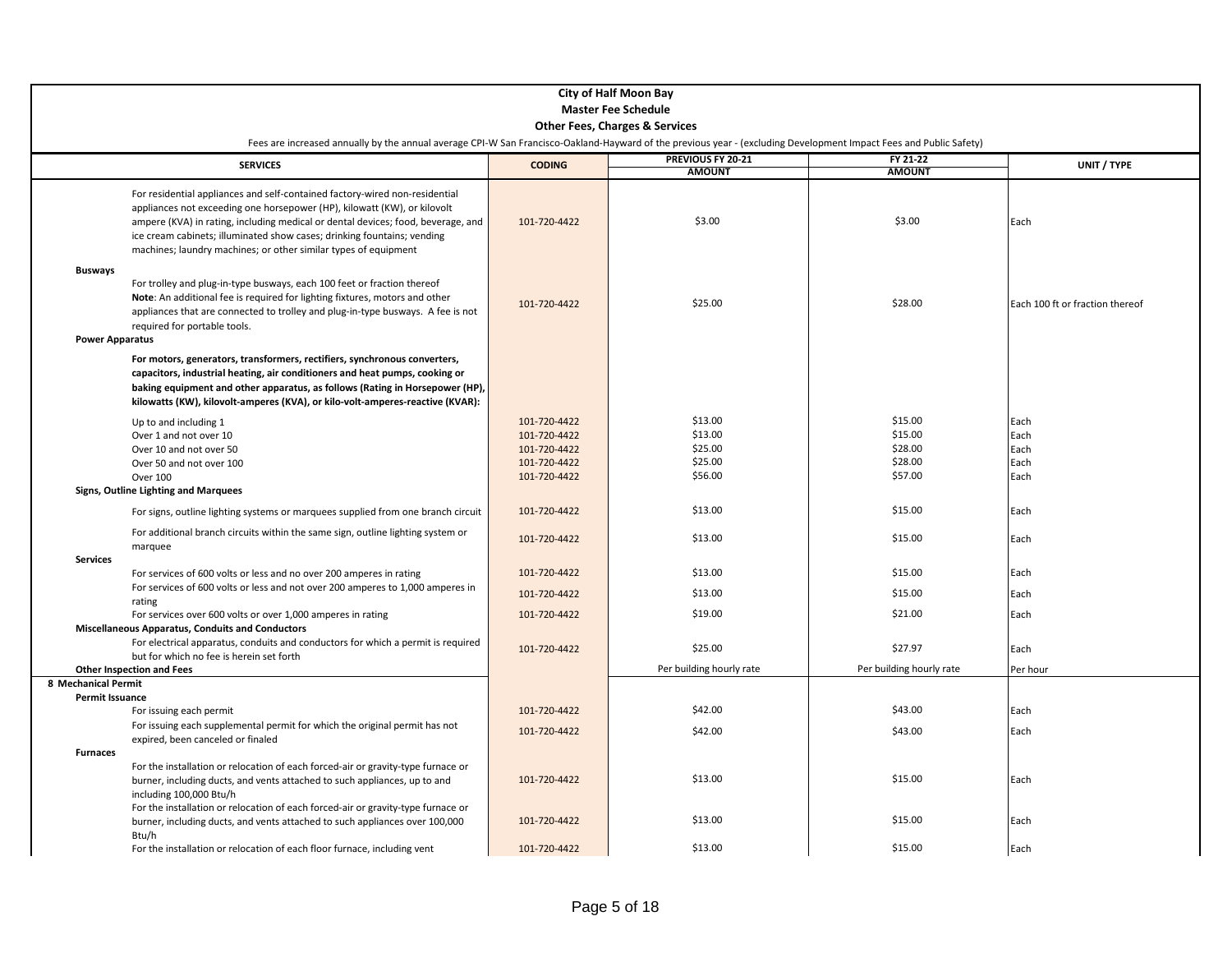| <b>City of Half Moon Bay</b><br><b>Master Fee Schedule</b>                                                                                                                                                                                                                                                                                                                                |                              |                          |                          |                                 |  |
|-------------------------------------------------------------------------------------------------------------------------------------------------------------------------------------------------------------------------------------------------------------------------------------------------------------------------------------------------------------------------------------------|------------------------------|--------------------------|--------------------------|---------------------------------|--|
| <b>Other Fees, Charges &amp; Services</b>                                                                                                                                                                                                                                                                                                                                                 |                              |                          |                          |                                 |  |
| Fees are increased annually by the annual average CPI-W San Francisco-Oakland-Hayward of the previous year - (excluding Development Impact Fees and Public Safety)                                                                                                                                                                                                                        |                              |                          |                          |                                 |  |
| <b>SERVICES</b>                                                                                                                                                                                                                                                                                                                                                                           | <b>CODING</b>                | PREVIOUS FY 20-21        | FY 21-22                 | UNIT / TYPE                     |  |
|                                                                                                                                                                                                                                                                                                                                                                                           |                              | <b>AMOUNT</b>            | <b>AMOUNT</b>            |                                 |  |
| For residential appliances and self-contained factory-wired non-residential<br>appliances not exceeding one horsepower (HP), kilowatt (KW), or kilovolt<br>ampere (KVA) in rating, including medical or dental devices; food, beverage, and<br>ice cream cabinets; illuminated show cases; drinking fountains; vending<br>machines; laundry machines; or other similar types of equipment | 101-720-4422                 | \$3.00                   | \$3.00                   | Each                            |  |
| <b>Busways</b><br>For trolley and plug-in-type busways, each 100 feet or fraction thereof<br>Note: An additional fee is required for lighting fixtures, motors and other<br>appliances that are connected to trolley and plug-in-type busways. A fee is not<br>required for portable tools.<br><b>Power Apparatus</b>                                                                     | 101-720-4422                 | \$25.00                  | \$28.00                  | Each 100 ft or fraction thereof |  |
| For motors, generators, transformers, rectifiers, synchronous converters,<br>capacitors, industrial heating, air conditioners and heat pumps, cooking or<br>baking equipment and other apparatus, as follows (Rating in Horsepower (HP),<br>kilowatts (KW), kilovolt-amperes (KVA), or kilo-volt-amperes-reactive (KVAR):                                                                 |                              |                          |                          |                                 |  |
| Up to and including 1<br>Over 1 and not over 10                                                                                                                                                                                                                                                                                                                                           | 101-720-4422<br>101-720-4422 | \$13.00<br>\$13.00       | \$15.00<br>\$15.00       | Each<br>Each                    |  |
| Over 10 and not over 50<br>Over 50 and not over 100                                                                                                                                                                                                                                                                                                                                       | 101-720-4422<br>101-720-4422 | \$25.00<br>\$25.00       | \$28.00<br>\$28.00       | Each<br>Each                    |  |
| <b>Over 100</b>                                                                                                                                                                                                                                                                                                                                                                           | 101-720-4422                 | \$56.00                  | \$57.00                  | Each                            |  |
| Signs, Outline Lighting and Marquees                                                                                                                                                                                                                                                                                                                                                      |                              |                          |                          |                                 |  |
| For signs, outline lighting systems or marquees supplied from one branch circuit                                                                                                                                                                                                                                                                                                          | 101-720-4422                 | \$13.00                  | \$15.00                  | Each                            |  |
| For additional branch circuits within the same sign, outline lighting system or<br>marquee<br><b>Services</b>                                                                                                                                                                                                                                                                             | 101-720-4422                 | \$13.00                  | \$15.00                  | Each                            |  |
| For services of 600 volts or less and no over 200 amperes in rating                                                                                                                                                                                                                                                                                                                       | 101-720-4422                 | \$13.00                  | \$15.00                  | Each                            |  |
| For services of 600 volts or less and not over 200 amperes to 1,000 amperes in                                                                                                                                                                                                                                                                                                            | 101-720-4422                 | \$13.00                  | \$15.00                  | Each                            |  |
| rating<br>For services over 600 volts or over 1,000 amperes in rating<br><b>Miscellaneous Apparatus, Conduits and Conductors</b>                                                                                                                                                                                                                                                          | 101-720-4422                 | \$19.00                  | \$21.00                  | Each                            |  |
| For electrical apparatus, conduits and conductors for which a permit is required<br>but for which no fee is herein set forth                                                                                                                                                                                                                                                              | 101-720-4422                 | \$25.00                  | \$27.97                  | Each                            |  |
| <b>Other Inspection and Fees</b><br>8 Mechanical Permit                                                                                                                                                                                                                                                                                                                                   |                              | Per building hourly rate | Per building hourly rate | Per hour                        |  |
| Permit Issuance                                                                                                                                                                                                                                                                                                                                                                           |                              |                          |                          |                                 |  |
| For issuing each permit<br>For issuing each supplemental permit for which the original permit has not                                                                                                                                                                                                                                                                                     | 101-720-4422                 | \$42.00                  | \$43.00                  | Each                            |  |
| expired, been canceled or finaled                                                                                                                                                                                                                                                                                                                                                         | 101-720-4422                 | \$42.00                  | \$43.00                  | Each                            |  |
| <b>Furnaces</b><br>For the installation or relocation of each forced-air or gravity-type furnace or<br>burner, including ducts, and vents attached to such appliances, up to and<br>including 100,000 Btu/h<br>For the installation or relocation of each forced-air or gravity-type furnace or                                                                                           | 101-720-4422                 | \$13.00                  | \$15.00                  | Each                            |  |
| burner, including ducts, and vents attached to such appliances over 100,000<br>Btu/h                                                                                                                                                                                                                                                                                                      | 101-720-4422                 | \$13.00                  | \$15.00                  | Each                            |  |
| For the installation or relocation of each floor furnace, including vent                                                                                                                                                                                                                                                                                                                  | 101-720-4422                 | \$13.00                  | \$15.00                  | Each                            |  |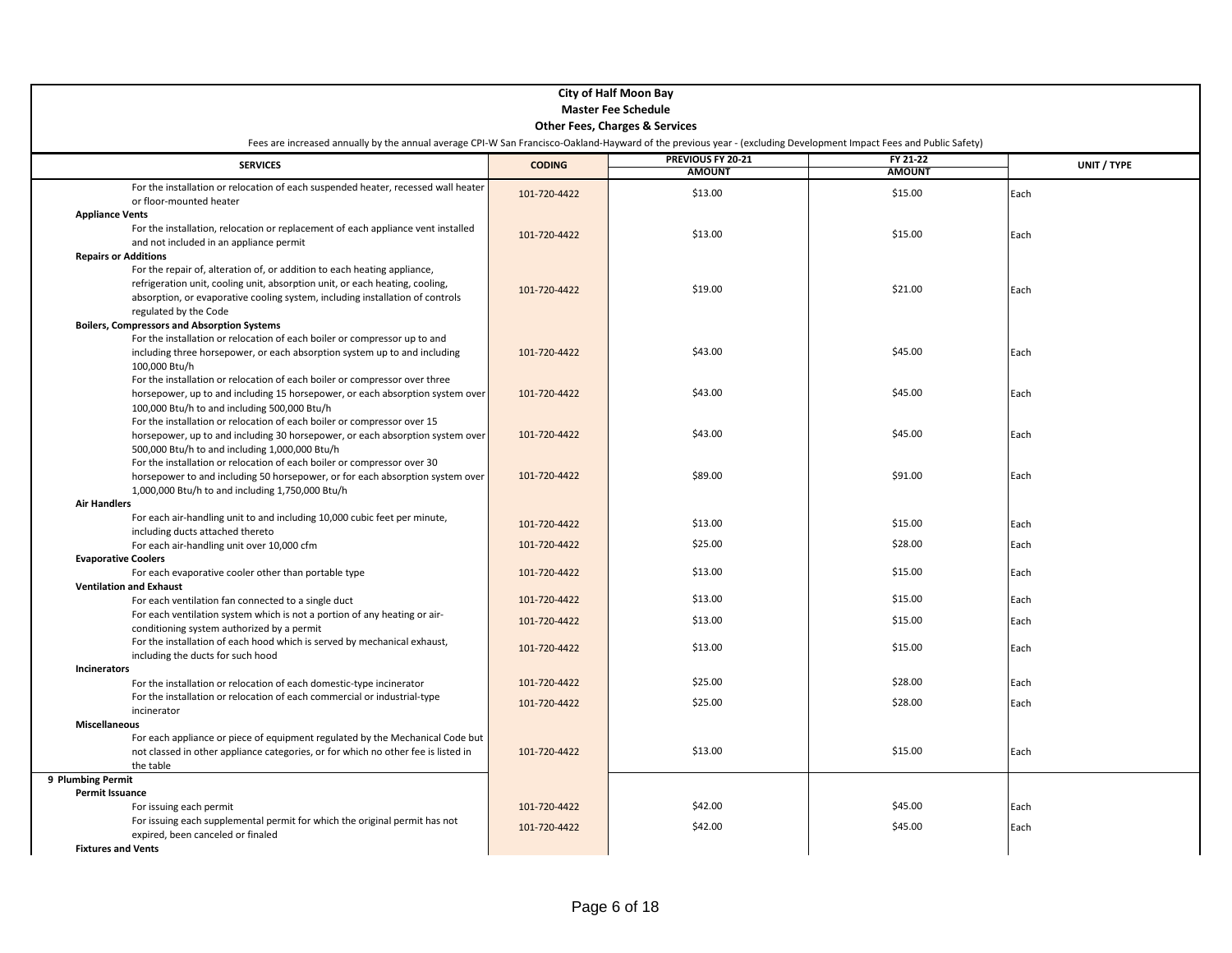| <b>City of Half Moon Bay</b><br><b>Master Fee Schedule</b>                                                                                                                                                                                                                                                                                              |                                           |                                    |                           |              |  |
|---------------------------------------------------------------------------------------------------------------------------------------------------------------------------------------------------------------------------------------------------------------------------------------------------------------------------------------------------------|-------------------------------------------|------------------------------------|---------------------------|--------------|--|
|                                                                                                                                                                                                                                                                                                                                                         | <b>Other Fees, Charges &amp; Services</b> |                                    |                           |              |  |
| Fees are increased annually by the annual average CPI-W San Francisco-Oakland-Hayward of the previous year - (excluding Development Impact Fees and Public Safety)                                                                                                                                                                                      |                                           |                                    |                           |              |  |
| <b>SERVICES</b>                                                                                                                                                                                                                                                                                                                                         | <b>CODING</b>                             | PREVIOUS FY 20-21<br><b>AMOUNT</b> | FY 21-22<br><b>AMOUNT</b> | UNIT / TYPE  |  |
| For the installation or relocation of each suspended heater, recessed wall heater<br>or floor-mounted heater                                                                                                                                                                                                                                            | 101-720-4422                              | \$13.00                            | \$15.00                   | Each         |  |
| <b>Appliance Vents</b><br>For the installation, relocation or replacement of each appliance vent installed<br>and not included in an appliance permit                                                                                                                                                                                                   | 101-720-4422                              | \$13.00                            | \$15.00                   | Each         |  |
| <b>Repairs or Additions</b><br>For the repair of, alteration of, or addition to each heating appliance,<br>refrigeration unit, cooling unit, absorption unit, or each heating, cooling,<br>absorption, or evaporative cooling system, including installation of controls<br>regulated by the Code<br><b>Boilers, Compressors and Absorption Systems</b> | 101-720-4422                              | \$19.00                            | \$21.00                   | Each         |  |
| For the installation or relocation of each boiler or compressor up to and<br>including three horsepower, or each absorption system up to and including<br>100.000 Btu/h                                                                                                                                                                                 | 101-720-4422                              | \$43.00                            | \$45.00                   | Each         |  |
| For the installation or relocation of each boiler or compressor over three<br>horsepower, up to and including 15 horsepower, or each absorption system over<br>100,000 Btu/h to and including 500,000 Btu/h                                                                                                                                             | 101-720-4422                              | \$43.00                            | \$45.00                   | Each         |  |
| For the installation or relocation of each boiler or compressor over 15<br>horsepower, up to and including 30 horsepower, or each absorption system over<br>500,000 Btu/h to and including 1,000,000 Btu/h                                                                                                                                              | 101-720-4422                              | \$43.00                            | \$45.00                   | Each         |  |
| For the installation or relocation of each boiler or compressor over 30<br>horsepower to and including 50 horsepower, or for each absorption system over<br>1,000,000 Btu/h to and including 1,750,000 Btu/h                                                                                                                                            | 101-720-4422                              | \$89.00                            | \$91.00                   | Each         |  |
| <b>Air Handlers</b>                                                                                                                                                                                                                                                                                                                                     |                                           |                                    |                           |              |  |
| For each air-handling unit to and including 10,000 cubic feet per minute,<br>including ducts attached thereto                                                                                                                                                                                                                                           | 101-720-4422                              | \$13.00                            | \$15.00                   | Each         |  |
| For each air-handling unit over 10,000 cfm                                                                                                                                                                                                                                                                                                              | 101-720-4422                              | \$25.00                            | \$28.00                   | Each         |  |
| <b>Evaporative Coolers</b>                                                                                                                                                                                                                                                                                                                              |                                           |                                    |                           |              |  |
| For each evaporative cooler other than portable type                                                                                                                                                                                                                                                                                                    | 101-720-4422                              | \$13.00                            | \$15.00                   | Each         |  |
| <b>Ventilation and Exhaust</b><br>For each ventilation fan connected to a single duct                                                                                                                                                                                                                                                                   | 101-720-4422                              | \$13.00                            | \$15.00                   | Each         |  |
| For each ventilation system which is not a portion of any heating or air-                                                                                                                                                                                                                                                                               |                                           |                                    |                           |              |  |
| conditioning system authorized by a permit                                                                                                                                                                                                                                                                                                              | 101-720-4422                              | \$13.00                            | \$15.00                   | Each         |  |
| For the installation of each hood which is served by mechanical exhaust,<br>including the ducts for such hood                                                                                                                                                                                                                                           | 101-720-4422                              | \$13.00                            | \$15.00                   | Each         |  |
| Incinerators<br>For the installation or relocation of each domestic-type incinerator                                                                                                                                                                                                                                                                    | 101-720-4422                              | \$25.00                            | \$28.00                   | Each         |  |
| For the installation or relocation of each commercial or industrial-type                                                                                                                                                                                                                                                                                |                                           |                                    |                           |              |  |
| incinerator                                                                                                                                                                                                                                                                                                                                             | 101-720-4422                              | \$25.00                            | \$28.00                   | Each         |  |
| <b>Miscellaneous</b><br>For each appliance or piece of equipment regulated by the Mechanical Code but<br>not classed in other appliance categories, or for which no other fee is listed in<br>the table                                                                                                                                                 | 101-720-4422                              | \$13.00                            | \$15.00                   | Each         |  |
| 9 Plumbing Permit                                                                                                                                                                                                                                                                                                                                       |                                           |                                    |                           |              |  |
| Permit Issuance                                                                                                                                                                                                                                                                                                                                         |                                           | \$42.00                            | \$45.00                   |              |  |
| For issuing each permit<br>For issuing each supplemental permit for which the original permit has not<br>expired, been canceled or finaled                                                                                                                                                                                                              | 101-720-4422<br>101-720-4422              | \$42.00                            | \$45.00                   | Each<br>Each |  |
| <b>Fixtures and Vents</b>                                                                                                                                                                                                                                                                                                                               |                                           |                                    |                           |              |  |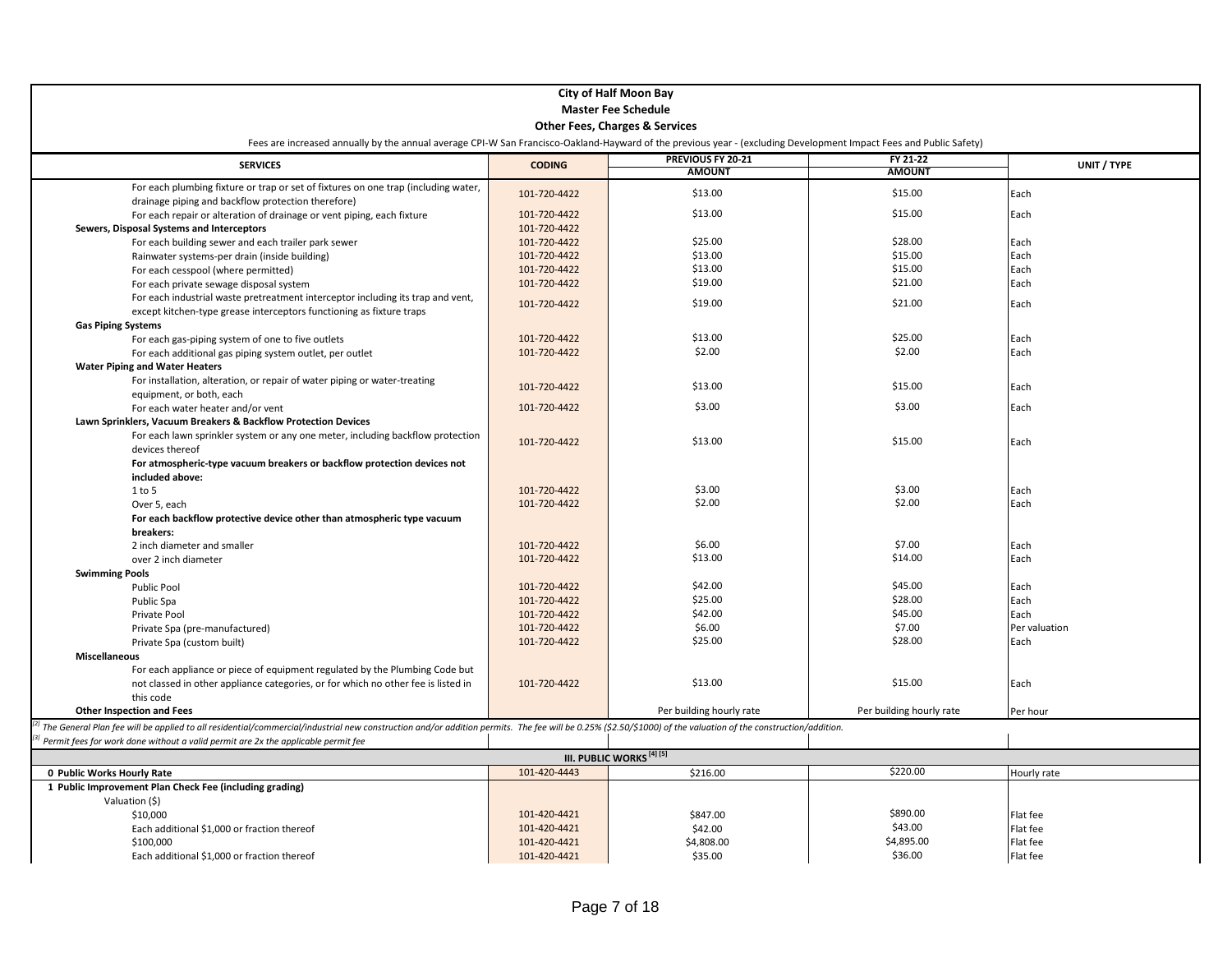| <b>City of Half Moon Bay</b>                                                                                                                                                                                         |               |                                      |                          |               |
|----------------------------------------------------------------------------------------------------------------------------------------------------------------------------------------------------------------------|---------------|--------------------------------------|--------------------------|---------------|
|                                                                                                                                                                                                                      |               | <b>Master Fee Schedule</b>           |                          |               |
| <b>Other Fees, Charges &amp; Services</b>                                                                                                                                                                            |               |                                      |                          |               |
| Fees are increased annually by the annual average CPI-W San Francisco-Oakland-Hayward of the previous year - (excluding Development Impact Fees and Public Safety)                                                   |               |                                      |                          |               |
| <b>SERVICES</b>                                                                                                                                                                                                      |               | PREVIOUS FY 20-21                    | FY 21-22                 | UNIT / TYPE   |
|                                                                                                                                                                                                                      | <b>CODING</b> | <b>AMOUNT</b>                        | <b>AMOUNT</b>            |               |
| For each plumbing fixture or trap or set of fixtures on one trap (including water,<br>drainage piping and backflow protection therefore)                                                                             | 101-720-4422  | \$13.00                              | \$15.00                  | Each          |
| For each repair or alteration of drainage or vent piping, each fixture                                                                                                                                               | 101-720-4422  | \$13.00                              | \$15.00                  | Each          |
| Sewers, Disposal Systems and Interceptors                                                                                                                                                                            | 101-720-4422  |                                      |                          |               |
| For each building sewer and each trailer park sewer                                                                                                                                                                  | 101-720-4422  | \$25.00                              | \$28.00                  | Each          |
| Rainwater systems-per drain (inside building)                                                                                                                                                                        | 101-720-4422  | \$13.00                              | \$15.00                  | Each          |
| For each cesspool (where permitted)                                                                                                                                                                                  | 101-720-4422  | \$13.00                              | \$15.00                  | Each          |
| For each private sewage disposal system                                                                                                                                                                              | 101-720-4422  | \$19.00                              | \$21.00                  | Each          |
| For each industrial waste pretreatment interceptor including its trap and vent,                                                                                                                                      |               |                                      |                          |               |
| except kitchen-type grease interceptors functioning as fixture traps                                                                                                                                                 | 101-720-4422  | \$19.00                              | \$21.00                  | Each          |
| <b>Gas Piping Systems</b>                                                                                                                                                                                            |               |                                      |                          |               |
| For each gas-piping system of one to five outlets                                                                                                                                                                    | 101-720-4422  | \$13.00                              | \$25.00                  | Each          |
| For each additional gas piping system outlet, per outlet                                                                                                                                                             | 101-720-4422  | \$2.00                               | \$2.00                   | Each          |
| <b>Water Piping and Water Heaters</b>                                                                                                                                                                                |               |                                      |                          |               |
| For installation, alteration, or repair of water piping or water-treating                                                                                                                                            |               |                                      |                          |               |
| equipment, or both, each                                                                                                                                                                                             | 101-720-4422  | \$13.00                              | \$15.00                  | Each          |
| For each water heater and/or vent                                                                                                                                                                                    | 101-720-4422  | \$3.00                               | \$3.00                   | Each          |
| Lawn Sprinklers, Vacuum Breakers & Backflow Protection Devices                                                                                                                                                       |               |                                      |                          |               |
| For each lawn sprinkler system or any one meter, including backflow protection                                                                                                                                       |               |                                      |                          |               |
| devices thereof                                                                                                                                                                                                      | 101-720-4422  | \$13.00                              | \$15.00                  | Each          |
| For atmospheric-type vacuum breakers or backflow protection devices not                                                                                                                                              |               |                                      |                          |               |
| included above:                                                                                                                                                                                                      |               |                                      |                          |               |
| 1 to 5                                                                                                                                                                                                               | 101-720-4422  | \$3.00                               | \$3.00                   | Each          |
| Over 5, each                                                                                                                                                                                                         | 101-720-4422  | \$2.00                               | \$2.00                   | Each          |
| For each backflow protective device other than atmospheric type vacuum                                                                                                                                               |               |                                      |                          |               |
| breakers:                                                                                                                                                                                                            |               |                                      |                          |               |
| 2 inch diameter and smaller                                                                                                                                                                                          | 101-720-4422  | \$6.00                               | \$7.00                   | Each          |
| over 2 inch diameter                                                                                                                                                                                                 | 101-720-4422  | \$13.00                              | \$14.00                  | Each          |
| <b>Swimming Pools</b>                                                                                                                                                                                                |               |                                      |                          |               |
| <b>Public Pool</b>                                                                                                                                                                                                   | 101-720-4422  | \$42.00                              | \$45.00                  | Each          |
| Public Spa                                                                                                                                                                                                           | 101-720-4422  | \$25.00                              | \$28.00                  | Each          |
| Private Pool                                                                                                                                                                                                         | 101-720-4422  | \$42.00                              | \$45.00                  | Each          |
|                                                                                                                                                                                                                      | 101-720-4422  | \$6.00                               | \$7.00                   | Per valuation |
| Private Spa (pre-manufactured)                                                                                                                                                                                       | 101-720-4422  | \$25.00                              | \$28.00                  | Each          |
| Private Spa (custom built)<br><b>Miscellaneous</b>                                                                                                                                                                   |               |                                      |                          |               |
| For each appliance or piece of equipment regulated by the Plumbing Code but                                                                                                                                          |               |                                      |                          |               |
|                                                                                                                                                                                                                      | 101-720-4422  | \$13.00                              | \$15.00                  | Each          |
| not classed in other appliance categories, or for which no other fee is listed in                                                                                                                                    |               |                                      |                          |               |
| this code<br><b>Other Inspection and Fees</b>                                                                                                                                                                        |               | Per building hourly rate             | Per building hourly rate | Per hour      |
|                                                                                                                                                                                                                      |               |                                      |                          |               |
| $^{2l}$ The General Plan fee will be applied to all residential/commercial/industrial new construction and/or addition permits. The fee will be 0.25% (\$2.50/\$1000) of the valuation of the construction/addition. |               |                                      |                          |               |
| Permit fees for work done without a valid permit are 2x the applicable permit fee                                                                                                                                    |               |                                      |                          |               |
|                                                                                                                                                                                                                      |               | III. PUBLIC WORKS <sup>[4] [5]</sup> |                          |               |
| 0 Public Works Hourly Rate                                                                                                                                                                                           | 101-420-4443  | \$216.00                             | \$220.00                 | Hourly rate   |
| 1 Public Improvement Plan Check Fee (including grading)                                                                                                                                                              |               |                                      |                          |               |
| Valuation (\$)                                                                                                                                                                                                       |               |                                      |                          |               |
| \$10,000                                                                                                                                                                                                             | 101-420-4421  | \$847.00                             | \$890.00                 | Flat fee      |
| Each additional \$1,000 or fraction thereof                                                                                                                                                                          | 101-420-4421  | \$42.00                              | \$43.00                  | Flat fee      |
| \$100,000                                                                                                                                                                                                            | 101-420-4421  | \$4,808.00                           | \$4,895.00               | Flat fee      |
| Each additional \$1,000 or fraction thereof                                                                                                                                                                          | 101-420-4421  | \$35.00                              | \$36.00                  | Flat fee      |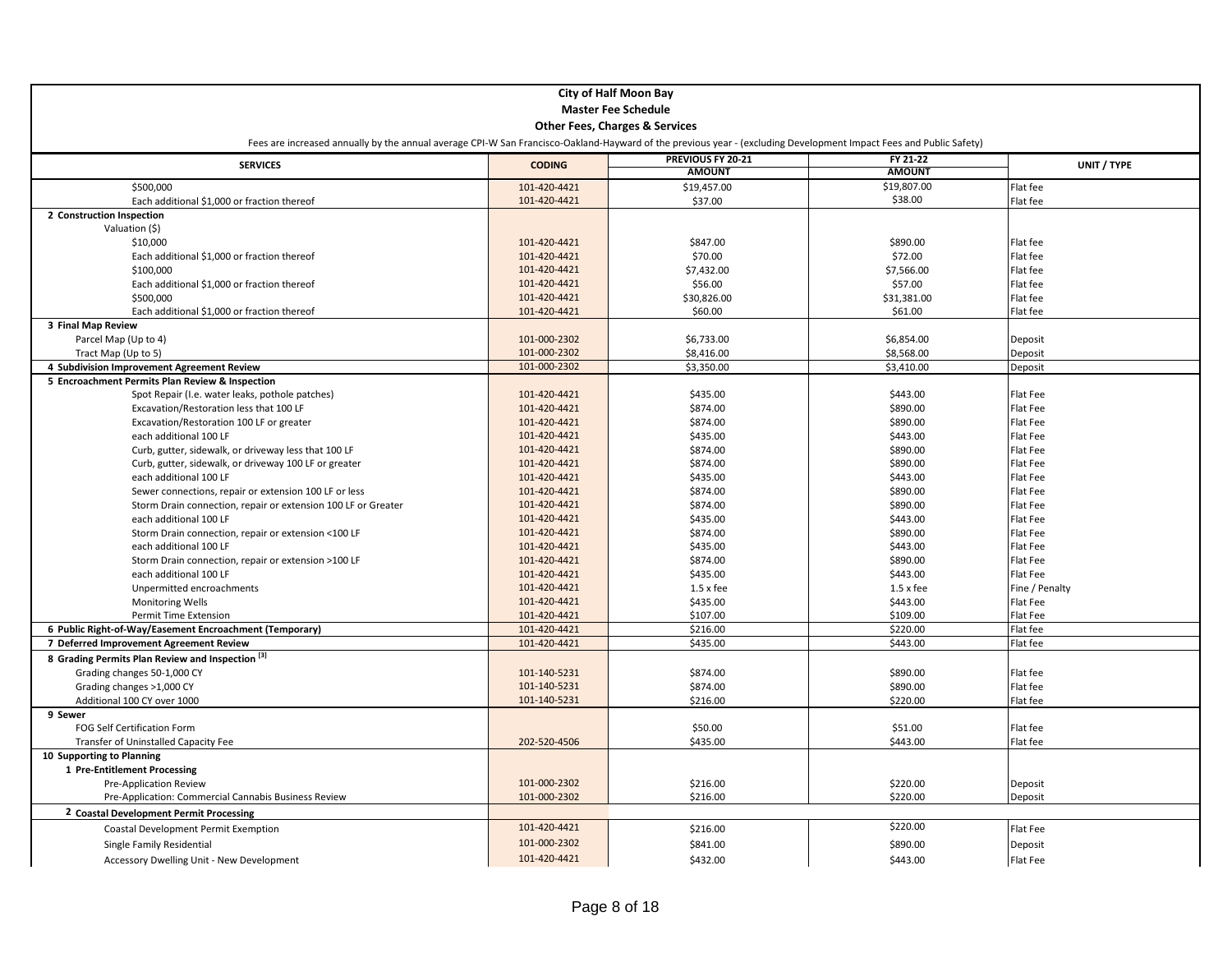| <b>City of Half Moon Bay</b>                                                                                                                                       |               |                                           |               |                |  |
|--------------------------------------------------------------------------------------------------------------------------------------------------------------------|---------------|-------------------------------------------|---------------|----------------|--|
| <b>Master Fee Schedule</b>                                                                                                                                         |               |                                           |               |                |  |
|                                                                                                                                                                    |               | <b>Other Fees, Charges &amp; Services</b> |               |                |  |
| Fees are increased annually by the annual average CPI-W San Francisco-Oakland-Hayward of the previous year - (excluding Development Impact Fees and Public Safety) |               |                                           |               |                |  |
|                                                                                                                                                                    |               | PREVIOUS FY 20-21                         | FY 21-22      |                |  |
| <b>SERVICES</b>                                                                                                                                                    | <b>CODING</b> | <b>AMOUNT</b>                             | <b>AMOUNT</b> | UNIT / TYPE    |  |
| \$500,000                                                                                                                                                          | 101-420-4421  | \$19,457.00                               | \$19,807.00   | Flat fee       |  |
| Each additional \$1,000 or fraction thereof                                                                                                                        | 101-420-4421  | \$37.00                                   | \$38.00       | Flat fee       |  |
| 2 Construction Inspection                                                                                                                                          |               |                                           |               |                |  |
| Valuation (\$)                                                                                                                                                     |               |                                           |               |                |  |
| \$10,000                                                                                                                                                           | 101-420-4421  | \$847.00                                  | \$890.00      | Flat fee       |  |
| Each additional \$1,000 or fraction thereof                                                                                                                        | 101-420-4421  | \$70.00                                   | \$72.00       | Flat fee       |  |
| \$100,000                                                                                                                                                          | 101-420-4421  | \$7,432.00                                | \$7,566.00    | Flat fee       |  |
| Each additional \$1,000 or fraction thereof                                                                                                                        | 101-420-4421  | \$56.00                                   | \$57.00       | Flat fee       |  |
| \$500,000                                                                                                                                                          | 101-420-4421  | \$30,826.00                               | \$31,381.00   | Flat fee       |  |
| Each additional \$1,000 or fraction thereof                                                                                                                        | 101-420-4421  | \$60.00                                   | \$61.00       | Flat fee       |  |
| 3 Final Map Review                                                                                                                                                 |               |                                           |               |                |  |
| Parcel Map (Up to 4)                                                                                                                                               | 101-000-2302  | \$6,733.00                                | \$6,854.00    | Deposit        |  |
| Tract Map (Up to 5)                                                                                                                                                | 101-000-2302  | \$8,416.00                                | \$8,568.00    | Deposit        |  |
| 4 Subdivision Improvement Agreement Review                                                                                                                         | 101-000-2302  | \$3,350.00                                | \$3,410.00    | Deposit        |  |
| 5 Encroachment Permits Plan Review & Inspection                                                                                                                    |               |                                           |               |                |  |
| Spot Repair (I.e. water leaks, pothole patches)                                                                                                                    | 101-420-4421  | \$435.00                                  | \$443.00      | Flat Fee       |  |
| Excavation/Restoration less that 100 LF                                                                                                                            | 101-420-4421  | \$874.00                                  | \$890.00      | Flat Fee       |  |
| Excavation/Restoration 100 LF or greater                                                                                                                           | 101-420-4421  | \$874.00                                  | \$890.00      | Flat Fee       |  |
| each additional 100 LF                                                                                                                                             | 101-420-4421  | \$435.00                                  | \$443.00      | Flat Fee       |  |
| Curb, gutter, sidewalk, or driveway less that 100 LF                                                                                                               | 101-420-4421  | \$874.00                                  | \$890.00      | Flat Fee       |  |
| Curb, gutter, sidewalk, or driveway 100 LF or greater                                                                                                              | 101-420-4421  | \$874.00                                  | \$890.00      | Flat Fee       |  |
| each additional 100 LF                                                                                                                                             | 101-420-4421  | \$435.00                                  | \$443.00      | Flat Fee       |  |
| Sewer connections, repair or extension 100 LF or less                                                                                                              | 101-420-4421  | \$874.00                                  | \$890.00      | Flat Fee       |  |
| Storm Drain connection, repair or extension 100 LF or Greater                                                                                                      | 101-420-4421  | \$874.00                                  | \$890.00      | Flat Fee       |  |
| each additional 100 LF                                                                                                                                             | 101-420-4421  | \$435.00                                  | \$443.00      | Flat Fee       |  |
| Storm Drain connection, repair or extension <100 LF                                                                                                                | 101-420-4421  | \$874.00                                  | \$890.00      | Flat Fee       |  |
| each additional 100 LF                                                                                                                                             | 101-420-4421  | \$435.00                                  | \$443.00      | Flat Fee       |  |
| Storm Drain connection, repair or extension >100 LF                                                                                                                | 101-420-4421  | \$874.00                                  | \$890.00      | Flat Fee       |  |
| each additional 100 LF                                                                                                                                             | 101-420-4421  | \$435.00                                  | \$443.00      | Flat Fee       |  |
| Unpermitted encroachments                                                                                                                                          | 101-420-4421  | $1.5 \times$ fee                          | $1.5x$ fee    | Fine / Penalty |  |
| Monitoring Wells                                                                                                                                                   | 101-420-4421  | \$435.00                                  | \$443.00      | Flat Fee       |  |
| Permit Time Extension                                                                                                                                              | 101-420-4421  | \$107.00                                  | \$109.00      | Flat Fee       |  |
| 6 Public Right-of-Way/Easement Encroachment (Temporary)                                                                                                            | 101-420-4421  | \$216.00                                  | \$220.00      | Flat fee       |  |
| 7 Deferred Improvement Agreement Review                                                                                                                            | 101-420-4421  | \$435.00                                  | \$443.00      | Flat fee       |  |
| 8 Grading Permits Plan Review and Inspection [3]                                                                                                                   |               |                                           |               |                |  |
| Grading changes 50-1,000 CY                                                                                                                                        | 101-140-5231  | \$874.00                                  | \$890.00      | Flat fee       |  |
| Grading changes >1,000 CY                                                                                                                                          | 101-140-5231  | \$874.00                                  | \$890.00      | Flat fee       |  |
| Additional 100 CY over 1000                                                                                                                                        | 101-140-5231  | \$216.00                                  | \$220.00      | Flat fee       |  |
| 9 Sewer                                                                                                                                                            |               |                                           |               |                |  |
| <b>FOG Self Certification Form</b>                                                                                                                                 |               | \$50.00                                   | \$51.00       | Flat fee       |  |
| Transfer of Uninstalled Capacity Fee                                                                                                                               | 202-520-4506  | \$435.00                                  | \$443.00      | Flat fee       |  |
| 10 Supporting to Planning                                                                                                                                          |               |                                           |               |                |  |
| 1 Pre-Entitlement Processing                                                                                                                                       |               |                                           |               |                |  |
| <b>Pre-Application Review</b>                                                                                                                                      | 101-000-2302  | \$216.00                                  | \$220.00      | Deposit        |  |
| Pre-Application: Commercial Cannabis Business Review                                                                                                               | 101-000-2302  | \$216.00                                  | \$220.00      | Deposit        |  |
| 2 Coastal Development Permit Processing                                                                                                                            |               |                                           |               |                |  |
| Coastal Development Permit Exemption                                                                                                                               | 101-420-4421  | \$216.00                                  | \$220.00      | Flat Fee       |  |
| Single Family Residential                                                                                                                                          | 101-000-2302  | \$841.00                                  | \$890.00      | Deposit        |  |
|                                                                                                                                                                    | 101-420-4421  |                                           |               |                |  |
| Accessory Dwelling Unit - New Development                                                                                                                          |               | \$432.00                                  | \$443.00      | Flat Fee       |  |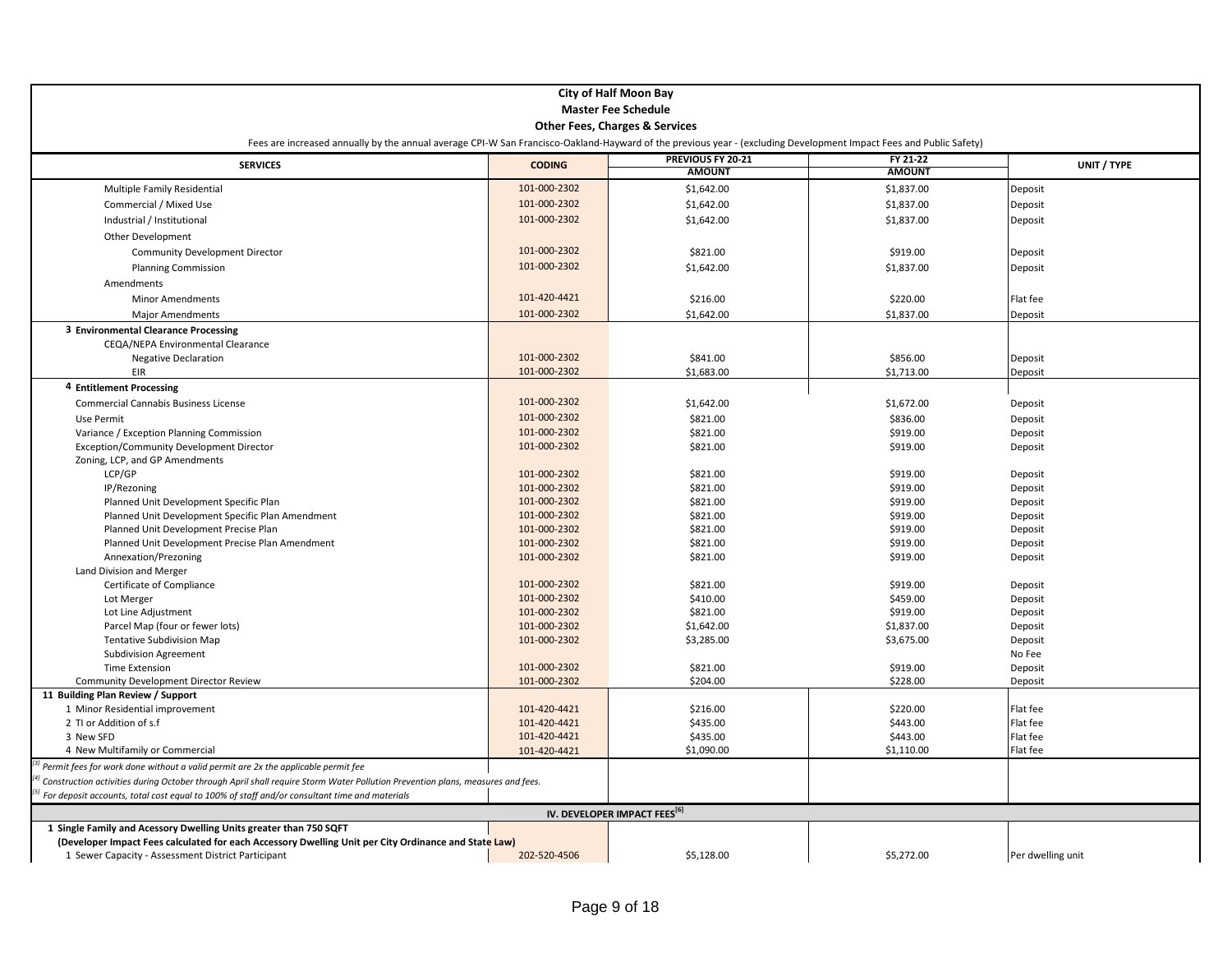| <b>City of Half Moon Bay</b>                                                                                                                                       |                              |                                           |                      |                    |
|--------------------------------------------------------------------------------------------------------------------------------------------------------------------|------------------------------|-------------------------------------------|----------------------|--------------------|
| <b>Master Fee Schedule</b>                                                                                                                                         |                              |                                           |                      |                    |
|                                                                                                                                                                    |                              | <b>Other Fees, Charges &amp; Services</b> |                      |                    |
| Fees are increased annually by the annual average CPI-W San Francisco-Oakland-Hayward of the previous year - (excluding Development Impact Fees and Public Safety) |                              |                                           |                      |                    |
| <b>SERVICES</b>                                                                                                                                                    | <b>CODING</b>                | PREVIOUS FY 20-21                         | FY 21-22             | UNIT / TYPE        |
|                                                                                                                                                                    |                              | <b>AMOUNT</b>                             | <b>AMOUNT</b>        |                    |
| Multiple Family Residential                                                                                                                                        | 101-000-2302                 | \$1,642.00                                | \$1,837.00           | Deposit            |
| Commercial / Mixed Use                                                                                                                                             | 101-000-2302                 | \$1,642.00                                | \$1,837.00           | Deposit            |
| Industrial / Institutional                                                                                                                                         | 101-000-2302                 | \$1,642.00                                | \$1,837.00           | Deposit            |
| Other Development                                                                                                                                                  |                              |                                           |                      |                    |
| <b>Community Development Director</b>                                                                                                                              | 101-000-2302                 | \$821.00                                  | \$919.00             | Deposit            |
| <b>Planning Commission</b>                                                                                                                                         | 101-000-2302                 | \$1,642.00                                | \$1,837.00           | Deposit            |
| Amendments                                                                                                                                                         |                              |                                           |                      |                    |
|                                                                                                                                                                    | 101-420-4421                 |                                           |                      |                    |
| <b>Minor Amendments</b>                                                                                                                                            |                              | \$216.00                                  | \$220.00             | Flat fee           |
| <b>Major Amendments</b>                                                                                                                                            | 101-000-2302                 | \$1,642.00                                | \$1,837.00           | Deposit            |
| 3 Environmental Clearance Processing                                                                                                                               |                              |                                           |                      |                    |
| CEQA/NEPA Environmental Clearance                                                                                                                                  |                              |                                           |                      |                    |
| <b>Negative Declaration</b>                                                                                                                                        | 101-000-2302                 | \$841.00                                  | \$856.00             | Deposit            |
| EIR                                                                                                                                                                | 101-000-2302                 | \$1,683.00                                | \$1,713.00           | Deposit            |
| 4 Entitlement Processing                                                                                                                                           |                              |                                           |                      |                    |
| <b>Commercial Cannabis Business License</b>                                                                                                                        | 101-000-2302                 | \$1,642.00                                | \$1,672.00           | Deposit            |
| Use Permit                                                                                                                                                         | 101-000-2302                 | \$821.00                                  | \$836.00             | Deposit            |
| Variance / Exception Planning Commission                                                                                                                           | 101-000-2302                 | \$821.00                                  | \$919.00             | Deposit            |
| <b>Exception/Community Development Director</b>                                                                                                                    | 101-000-2302                 | \$821.00                                  | \$919.00             | Deposit            |
| Zoning, LCP, and GP Amendments                                                                                                                                     |                              |                                           |                      |                    |
| LCP/GP                                                                                                                                                             | 101-000-2302                 | \$821.00                                  | \$919.00             | Deposit            |
| IP/Rezoning                                                                                                                                                        | 101-000-2302                 | \$821.00                                  | \$919.00             | Deposit            |
| Planned Unit Development Specific Plan                                                                                                                             | 101-000-2302<br>101-000-2302 | \$821.00                                  | \$919.00             | Deposit            |
| Planned Unit Development Specific Plan Amendment                                                                                                                   | 101-000-2302                 | \$821.00                                  | \$919.00             | Deposit            |
| Planned Unit Development Precise Plan<br>Planned Unit Development Precise Plan Amendment                                                                           | 101-000-2302                 | \$821.00<br>\$821.00                      | \$919.00<br>\$919.00 | Deposit<br>Deposit |
| Annexation/Prezoning                                                                                                                                               | 101-000-2302                 | \$821.00                                  | \$919.00             | Deposit            |
| Land Division and Merger                                                                                                                                           |                              |                                           |                      |                    |
| Certificate of Compliance                                                                                                                                          | 101-000-2302                 | \$821.00                                  | \$919.00             | Deposit            |
| Lot Merger                                                                                                                                                         | 101-000-2302                 | \$410.00                                  | \$459.00             | Deposit            |
| Lot Line Adjustment                                                                                                                                                | 101-000-2302                 | \$821.00                                  | \$919.00             | Deposit            |
| Parcel Map (four or fewer lots)                                                                                                                                    | 101-000-2302                 | \$1,642.00                                | \$1,837.00           | Deposit            |
| Tentative Subdivision Map                                                                                                                                          | 101-000-2302                 | \$3,285.00                                | \$3,675.00           | Deposit            |
| <b>Subdivision Agreement</b>                                                                                                                                       |                              |                                           |                      | No Fee             |
| <b>Time Extension</b>                                                                                                                                              | 101-000-2302                 | \$821.00                                  | \$919.00             | Deposit            |
| Community Development Director Review                                                                                                                              | 101-000-2302                 | \$204.00                                  | \$228.00             | Deposit            |
| 11 Building Plan Review / Support                                                                                                                                  |                              |                                           |                      |                    |
| 1 Minor Residential improvement                                                                                                                                    | 101-420-4421                 | \$216.00                                  | \$220.00             | Flat fee           |
| 2 TI or Addition of s.f                                                                                                                                            | 101-420-4421                 | \$435.00                                  | \$443.00             | Flat fee           |
| 3 New SFD                                                                                                                                                          | 101-420-4421                 | \$435.00                                  | \$443.00             | Flat fee           |
| 4 New Multifamily or Commercial                                                                                                                                    | 101-420-4421                 | \$1,090.00                                | \$1,110.00           | Flat fee           |
| Permit fees for work done without a valid permit are 2x the applicable permit fee                                                                                  |                              |                                           |                      |                    |
| Construction activities during October through April shall require Storm Water Pollution Prevention plans, measures and fees.                                      |                              |                                           |                      |                    |
| For deposit accounts, total cost equal to 100% of staff and/or consultant time and materials                                                                       |                              |                                           |                      |                    |
|                                                                                                                                                                    |                              | IV. DEVELOPER IMPACT FEES <sup>[6]</sup>  |                      |                    |
| 1 Single Family and Acessory Dwelling Units greater than 750 SQFT                                                                                                  |                              |                                           |                      |                    |
| (Developer Impact Fees calculated for each Accessory Dwelling Unit per City Ordinance and State Law)                                                               |                              |                                           |                      |                    |
| 1 Sewer Capacity - Assessment District Participant                                                                                                                 | 202-520-4506                 | \$5,128.00                                | \$5,272.00           | Per dwelling unit  |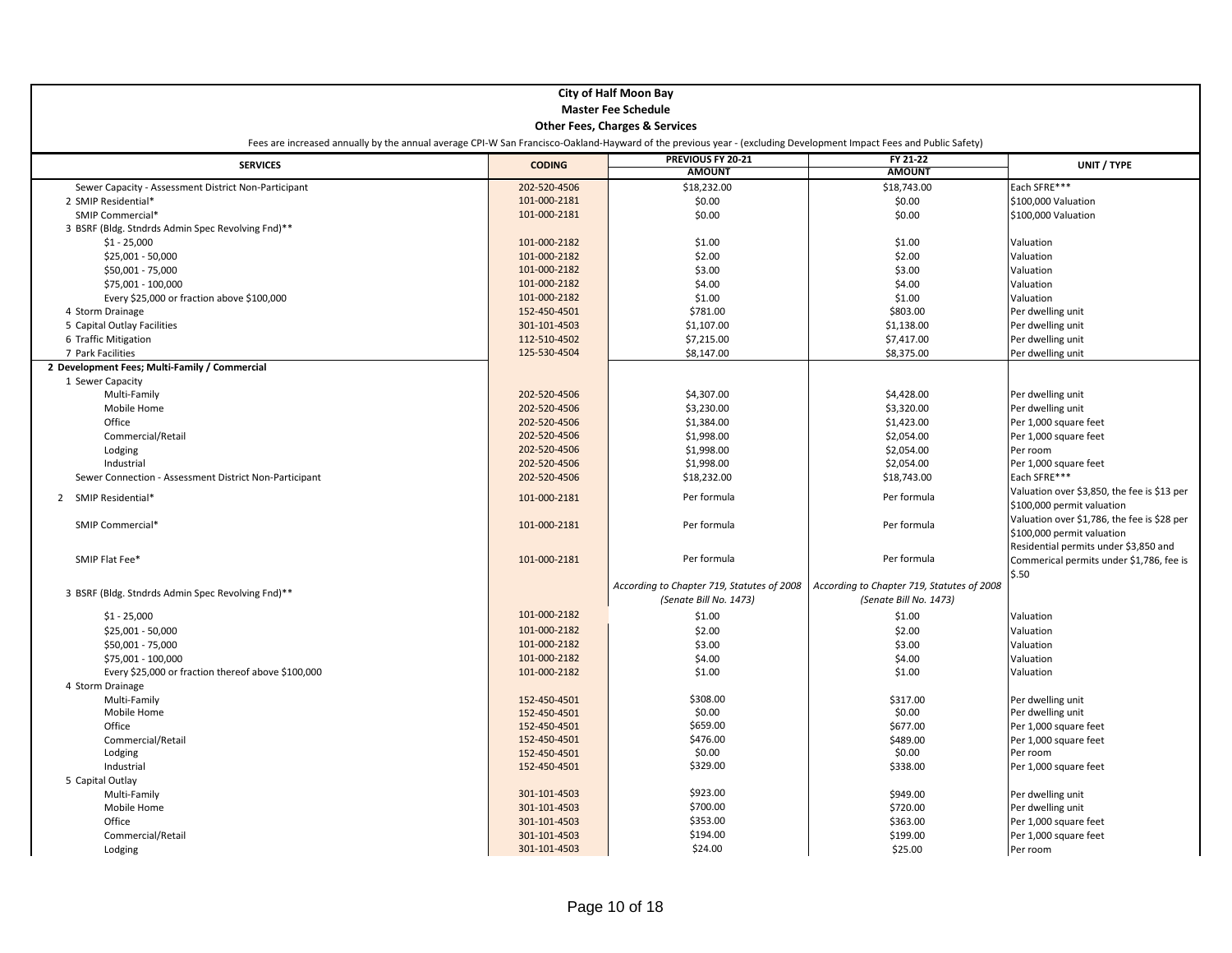| <b>City of Half Moon Bay</b>                           |                                                                                                                                                                    |                                            |                                            |                                             |  |  |
|--------------------------------------------------------|--------------------------------------------------------------------------------------------------------------------------------------------------------------------|--------------------------------------------|--------------------------------------------|---------------------------------------------|--|--|
| <b>Master Fee Schedule</b>                             |                                                                                                                                                                    |                                            |                                            |                                             |  |  |
|                                                        |                                                                                                                                                                    | <b>Other Fees, Charges &amp; Services</b>  |                                            |                                             |  |  |
|                                                        | Fees are increased annually by the annual average CPI-W San Francisco-Oakland-Hayward of the previous year - (excluding Development Impact Fees and Public Safety) |                                            |                                            |                                             |  |  |
|                                                        |                                                                                                                                                                    | PREVIOUS FY 20-21                          | FY 21-22                                   |                                             |  |  |
| <b>SERVICES</b>                                        | <b>CODING</b>                                                                                                                                                      | <b>AMOUNT</b>                              | <b>AMOUNT</b>                              | UNIT / TYPE                                 |  |  |
| Sewer Capacity - Assessment District Non-Participant   | 202-520-4506                                                                                                                                                       | \$18,232.00                                | \$18,743.00                                | Each SFRE***                                |  |  |
| 2 SMIP Residential*                                    | 101-000-2181                                                                                                                                                       | \$0.00                                     | \$0.00                                     | \$100,000 Valuation                         |  |  |
| SMIP Commercial*                                       | 101-000-2181                                                                                                                                                       | \$0.00                                     | \$0.00                                     | \$100,000 Valuation                         |  |  |
| 3 BSRF (Bldg. Stndrds Admin Spec Revolving Fnd)**      |                                                                                                                                                                    |                                            |                                            |                                             |  |  |
| $$1 - 25,000$                                          | 101-000-2182                                                                                                                                                       | \$1.00                                     | \$1.00                                     | Valuation                                   |  |  |
| \$25,001 - 50,000                                      | 101-000-2182                                                                                                                                                       | \$2.00                                     | \$2.00                                     | Valuation                                   |  |  |
| \$50,001 - 75,000                                      | 101-000-2182                                                                                                                                                       | \$3.00                                     | \$3.00                                     | Valuation                                   |  |  |
| \$75,001 - 100,000                                     | 101-000-2182                                                                                                                                                       | \$4.00                                     | \$4.00                                     | Valuation                                   |  |  |
| Every \$25,000 or fraction above \$100,000             | 101-000-2182                                                                                                                                                       | \$1.00                                     | \$1.00                                     | Valuation                                   |  |  |
| 4 Storm Drainage                                       | 152-450-4501                                                                                                                                                       | \$781.00                                   | \$803.00                                   | Per dwelling unit                           |  |  |
| 5 Capital Outlay Facilities                            | 301-101-4503                                                                                                                                                       | \$1,107.00                                 | \$1,138.00                                 | Per dwelling unit                           |  |  |
| 6 Traffic Mitigation                                   | 112-510-4502                                                                                                                                                       | \$7,215.00                                 | \$7,417.00                                 | Per dwelling unit                           |  |  |
| 7 Park Facilities                                      | 125-530-4504                                                                                                                                                       | \$8,147.00                                 | \$8,375.00                                 | Per dwelling unit                           |  |  |
| 2 Development Fees; Multi-Family / Commercial          |                                                                                                                                                                    |                                            |                                            |                                             |  |  |
| 1 Sewer Capacity                                       |                                                                                                                                                                    |                                            |                                            |                                             |  |  |
| Multi-Family                                           | 202-520-4506                                                                                                                                                       | \$4,307.00                                 | \$4,428.00                                 | Per dwelling unit                           |  |  |
| Mobile Home                                            | 202-520-4506                                                                                                                                                       | \$3,230.00                                 | \$3,320.00                                 | Per dwelling unit                           |  |  |
| Office                                                 | 202-520-4506                                                                                                                                                       | \$1,384.00                                 | \$1,423.00                                 | Per 1,000 square feet                       |  |  |
| Commercial/Retail                                      | 202-520-4506                                                                                                                                                       | \$1,998.00                                 | \$2,054.00                                 | Per 1,000 square feet                       |  |  |
| Lodging                                                | 202-520-4506                                                                                                                                                       | \$1,998.00                                 | \$2,054.00                                 | Per room                                    |  |  |
| Industrial                                             | 202-520-4506                                                                                                                                                       | \$1,998.00                                 | \$2,054.00                                 | Per 1,000 square feet                       |  |  |
| Sewer Connection - Assessment District Non-Participant | 202-520-4506                                                                                                                                                       | \$18,232.00                                | \$18,743.00                                | Each SFRE***                                |  |  |
|                                                        |                                                                                                                                                                    | Per formula                                | Per formula                                | Valuation over \$3,850, the fee is \$13 per |  |  |
| 2 SMIP Residential*                                    | 101-000-2181                                                                                                                                                       |                                            |                                            | \$100,000 permit valuation                  |  |  |
|                                                        |                                                                                                                                                                    | Per formula                                |                                            | Valuation over \$1,786, the fee is \$28 per |  |  |
| SMIP Commercial*                                       | 101-000-2181                                                                                                                                                       |                                            | Per formula                                | \$100,000 permit valuation                  |  |  |
|                                                        |                                                                                                                                                                    |                                            |                                            | Residential permits under \$3,850 and       |  |  |
| SMIP Flat Fee*                                         | 101-000-2181                                                                                                                                                       | Per formula                                | Per formula                                | Commerical permits under \$1,786, fee is    |  |  |
|                                                        |                                                                                                                                                                    |                                            |                                            | \$.50                                       |  |  |
| 3 BSRF (Bldg. Stndrds Admin Spec Revolving Fnd)**      |                                                                                                                                                                    | According to Chapter 719, Statutes of 2008 | According to Chapter 719, Statutes of 2008 |                                             |  |  |
|                                                        |                                                                                                                                                                    | (Senate Bill No. 1473)                     | (Senate Bill No. 1473)                     |                                             |  |  |
| $$1 - 25,000$                                          | 101-000-2182                                                                                                                                                       | \$1.00                                     | \$1.00                                     | Valuation                                   |  |  |
| \$25,001 - 50,000                                      | 101-000-2182                                                                                                                                                       | \$2.00                                     | \$2.00                                     | Valuation                                   |  |  |
| \$50,001 - 75,000                                      | 101-000-2182                                                                                                                                                       | \$3.00                                     | \$3.00                                     | Valuation                                   |  |  |
| \$75,001 - 100,000                                     | 101-000-2182                                                                                                                                                       | \$4.00                                     | \$4.00                                     | Valuation                                   |  |  |
| Every \$25,000 or fraction thereof above \$100,000     | 101-000-2182                                                                                                                                                       | \$1.00                                     | \$1.00                                     | Valuation                                   |  |  |
| 4 Storm Drainage                                       |                                                                                                                                                                    |                                            |                                            |                                             |  |  |
| Multi-Family                                           | 152-450-4501                                                                                                                                                       | \$308.00                                   | \$317.00                                   | Per dwelling unit                           |  |  |
| Mobile Home                                            | 152-450-4501                                                                                                                                                       | \$0.00                                     | \$0.00                                     | Per dwelling unit                           |  |  |
| Office                                                 | 152-450-4501                                                                                                                                                       | \$659.00                                   | \$677.00                                   | Per 1,000 square feet                       |  |  |
| Commercial/Retail                                      | 152-450-4501                                                                                                                                                       | \$476.00                                   | \$489.00                                   | Per 1,000 square feet                       |  |  |
| Lodging                                                | 152-450-4501                                                                                                                                                       | \$0.00                                     | \$0.00                                     | Per room                                    |  |  |
| Industrial                                             | 152-450-4501                                                                                                                                                       | \$329.00                                   | \$338.00                                   | Per 1,000 square feet                       |  |  |
| 5 Capital Outlay                                       |                                                                                                                                                                    |                                            |                                            |                                             |  |  |
| Multi-Family                                           | 301-101-4503                                                                                                                                                       | \$923.00                                   | \$949.00                                   | Per dwelling unit                           |  |  |
| Mobile Home                                            | 301-101-4503                                                                                                                                                       | \$700.00                                   | \$720.00                                   | Per dwelling unit                           |  |  |
| Office                                                 | 301-101-4503                                                                                                                                                       | \$353.00                                   | \$363.00                                   | Per 1,000 square feet                       |  |  |
| Commercial/Retail                                      | 301-101-4503                                                                                                                                                       | \$194.00                                   | \$199.00                                   | Per 1,000 square feet                       |  |  |
| Lodging                                                | 301-101-4503                                                                                                                                                       | \$24.00                                    | \$25.00                                    | Per room                                    |  |  |
|                                                        |                                                                                                                                                                    |                                            |                                            |                                             |  |  |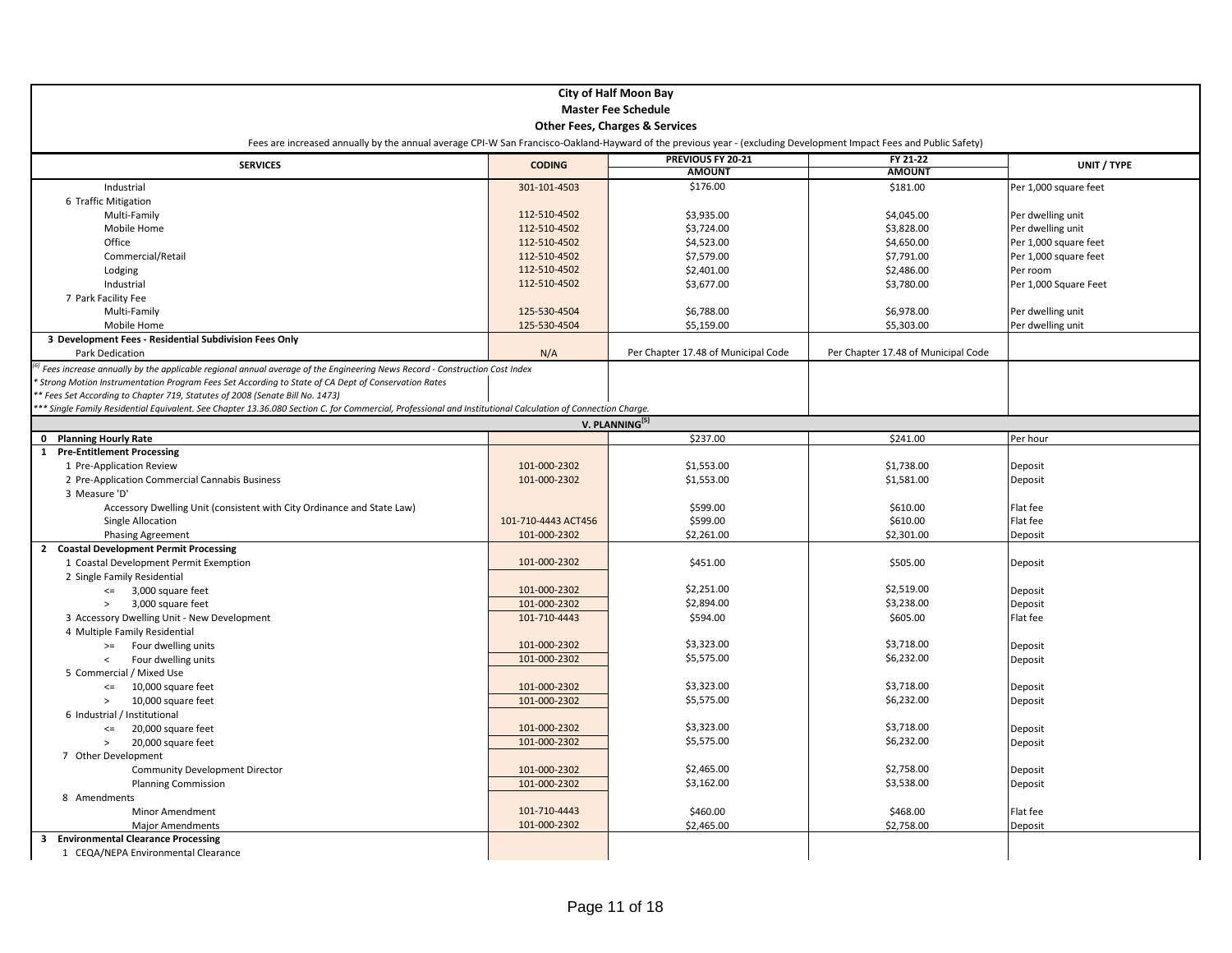| <b>City of Half Moon Bay</b>                                                                                                                                       |                     |                                     |                                     |                       |  |
|--------------------------------------------------------------------------------------------------------------------------------------------------------------------|---------------------|-------------------------------------|-------------------------------------|-----------------------|--|
| <b>Master Fee Schedule</b>                                                                                                                                         |                     |                                     |                                     |                       |  |
| <b>Other Fees, Charges &amp; Services</b>                                                                                                                          |                     |                                     |                                     |                       |  |
| Fees are increased annually by the annual average CPI-W San Francisco-Oakland-Hayward of the previous year - (excluding Development Impact Fees and Public Safety) |                     |                                     |                                     |                       |  |
| <b>SERVICES</b>                                                                                                                                                    | <b>CODING</b>       | PREVIOUS FY 20-21                   | FY 21-22                            | UNIT / TYPE           |  |
|                                                                                                                                                                    |                     | <b>AMOUNT</b>                       | <b>AMOUNT</b>                       |                       |  |
| Industrial                                                                                                                                                         | 301-101-4503        | \$176.00                            | \$181.00                            | Per 1,000 square feet |  |
| 6 Traffic Mitigation                                                                                                                                               |                     |                                     |                                     |                       |  |
| Multi-Family                                                                                                                                                       | 112-510-4502        | \$3,935.00                          | \$4,045.00                          | Per dwelling unit     |  |
| Mobile Home                                                                                                                                                        | 112-510-4502        | \$3,724.00                          | \$3,828.00                          | Per dwelling unit     |  |
| Office                                                                                                                                                             | 112-510-4502        | \$4,523.00                          | \$4,650.00                          | Per 1,000 square feet |  |
| Commercial/Retail                                                                                                                                                  | 112-510-4502        | \$7,579.00                          | \$7,791.00                          | Per 1,000 square feet |  |
| Lodging                                                                                                                                                            | 112-510-4502        | \$2,401.00                          | \$2,486.00                          | Per room              |  |
| Industrial                                                                                                                                                         | 112-510-4502        | \$3,677.00                          | \$3,780.00                          | Per 1,000 Square Feet |  |
| 7 Park Facility Fee                                                                                                                                                |                     |                                     |                                     |                       |  |
| Multi-Family                                                                                                                                                       | 125-530-4504        | \$6,788.00                          | \$6,978.00                          | Per dwelling unit     |  |
| Mobile Home                                                                                                                                                        | 125-530-4504        | \$5,159.00                          | \$5,303.00                          | Per dwelling unit     |  |
| 3 Development Fees - Residential Subdivision Fees Only                                                                                                             |                     |                                     |                                     |                       |  |
| Park Dedication                                                                                                                                                    | N/A                 | Per Chapter 17.48 of Municipal Code | Per Chapter 17.48 of Municipal Code |                       |  |
| Fees increase annually by the applicable regional annual average of the Engineering News Record - Construction Cost Index                                          |                     |                                     |                                     |                       |  |
| Strong Motion Instrumentation Program Fees Set According to State of CA Dept of Conservation Rates                                                                 |                     |                                     |                                     |                       |  |
| * Fees Set According to Chapter 719, Statutes of 2008 (Senate Bill No. 1473)                                                                                       |                     |                                     |                                     |                       |  |
| ** Single Family Residential Equivalent. See Chapter 13.36.080 Section C. for Commercial, Professional and Institutional Calculation of Connection Charge.         |                     |                                     |                                     |                       |  |
| V. PLANNING <sup>[5]</sup>                                                                                                                                         |                     |                                     |                                     |                       |  |
| 0 Planning Hourly Rate                                                                                                                                             |                     | \$237.00                            | \$241.00                            | Per hour              |  |
| 1 Pre-Entitlement Processing                                                                                                                                       |                     |                                     |                                     |                       |  |
| 1 Pre-Application Review                                                                                                                                           | 101-000-2302        | \$1,553.00                          | \$1,738.00                          | Deposit               |  |
| 2 Pre-Application Commercial Cannabis Business                                                                                                                     | 101-000-2302        | \$1,553.00                          | \$1,581.00                          | Deposit               |  |
| 3 Measure 'D'                                                                                                                                                      |                     |                                     |                                     |                       |  |
| Accessory Dwelling Unit (consistent with City Ordinance and State Law)                                                                                             |                     | \$599.00                            | \$610.00                            | Flat fee              |  |
| Single Allocation                                                                                                                                                  | 101-710-4443 ACT456 | \$599.00                            | \$610.00                            | Flat fee              |  |
| <b>Phasing Agreement</b>                                                                                                                                           | 101-000-2302        | \$2,261.00                          | \$2,301.00                          | Deposit               |  |
| 2 Coastal Development Permit Processing                                                                                                                            |                     |                                     |                                     |                       |  |
| 1 Coastal Development Permit Exemption                                                                                                                             | 101-000-2302        | \$451.00                            | \$505.00                            | Deposit               |  |
| 2 Single Family Residential                                                                                                                                        |                     |                                     |                                     |                       |  |
| $\leq$ 3,000 square feet                                                                                                                                           | 101-000-2302        | \$2,251.00                          | \$2,519.00                          | Deposit               |  |
| 3,000 square feet<br>$\,>$                                                                                                                                         | 101-000-2302        | \$2,894.00                          | \$3,238.00                          | Deposit               |  |
| 3 Accessory Dwelling Unit - New Development                                                                                                                        | 101-710-4443        | \$594.00                            | \$605.00                            | Flat fee              |  |
| 4 Multiple Family Residential                                                                                                                                      |                     |                                     |                                     |                       |  |
| Four dwelling units<br>$>=$                                                                                                                                        | 101-000-2302        | \$3,323.00                          | \$3,718.00                          | Deposit               |  |
| Four dwelling units<br>$\overline{\phantom{0}}$                                                                                                                    | 101-000-2302        | \$5,575.00                          | \$6,232.00                          | Deposit               |  |
| 5 Commercial / Mixed Use                                                                                                                                           |                     |                                     |                                     |                       |  |
| 10,000 square feet<br>$\leq$                                                                                                                                       | 101-000-2302        | \$3,323.00                          | \$3,718.00                          | Deposit               |  |
| 10,000 square feet<br>$\,>$                                                                                                                                        | 101-000-2302        | \$5,575.00                          | \$6,232.00                          | Deposit               |  |
| 6 Industrial / Institutional                                                                                                                                       |                     |                                     |                                     |                       |  |
| 20,000 square feet<br>$\leq$                                                                                                                                       | 101-000-2302        | \$3,323.00                          | \$3,718.00                          | Deposit               |  |
| 20,000 square feet<br>$\geq$                                                                                                                                       | 101-000-2302        | \$5,575.00                          | \$6,232.00                          | Deposit               |  |
| 7 Other Development                                                                                                                                                |                     |                                     |                                     |                       |  |
| <b>Community Development Director</b>                                                                                                                              | 101-000-2302        | \$2,465.00                          | \$2,758.00                          | Deposit               |  |
| <b>Planning Commission</b>                                                                                                                                         | 101-000-2302        | \$3,162.00                          | \$3,538.00                          | Deposit               |  |
| 8 Amendments                                                                                                                                                       |                     |                                     |                                     |                       |  |
| Minor Amendment                                                                                                                                                    | 101-710-4443        | \$460.00                            | \$468.00                            | Flat fee              |  |
| <b>Major Amendments</b>                                                                                                                                            | 101-000-2302        | \$2,465.00                          | \$2,758.00                          | Deposit               |  |
| 3 Environmental Clearance Processing                                                                                                                               |                     |                                     |                                     |                       |  |
| 1 CEQA/NEPA Environmental Clearance                                                                                                                                |                     |                                     |                                     |                       |  |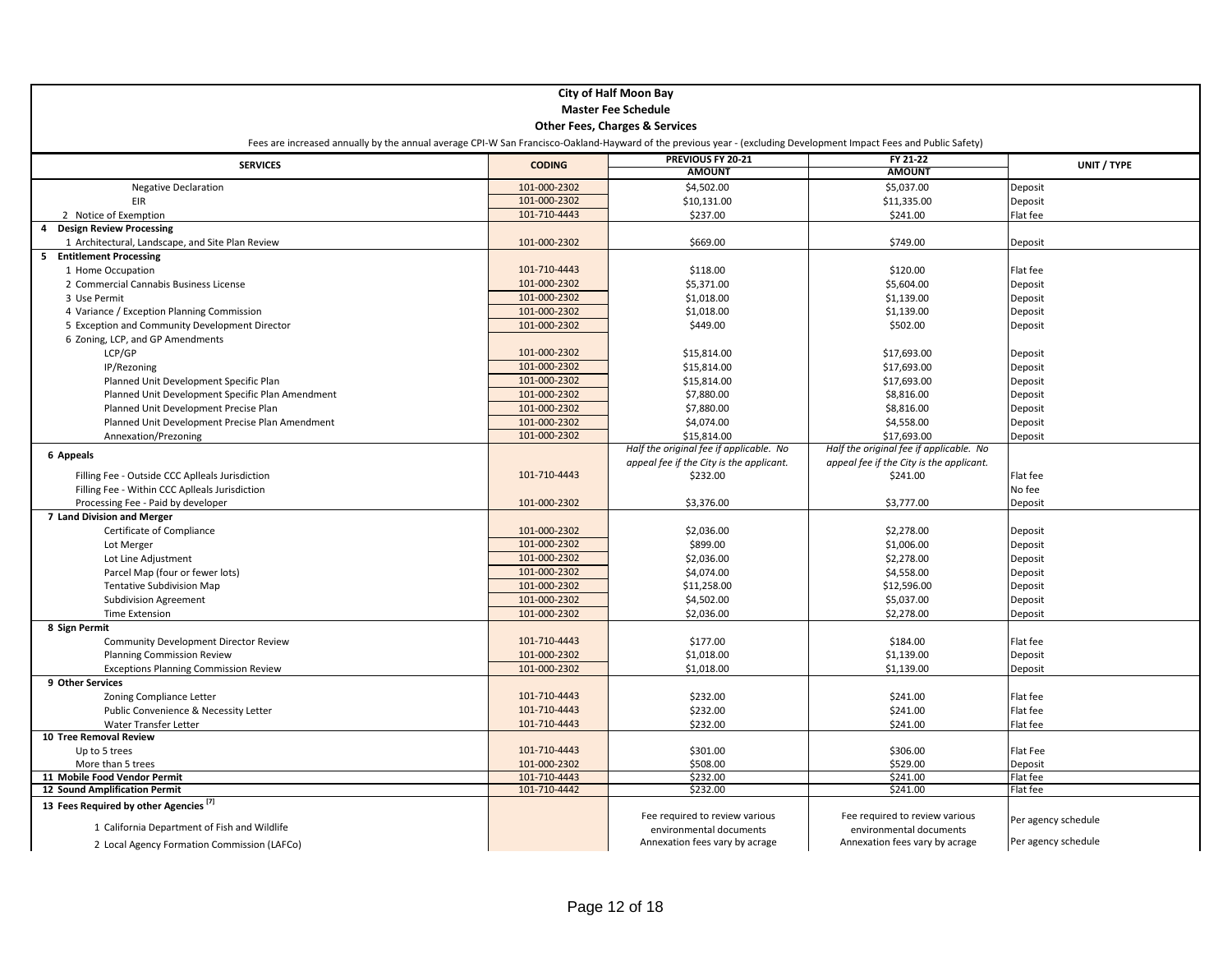| <b>City of Half Moon Bay</b>                                                                                                                                       |               |                                                           |                                                           |                     |  |
|--------------------------------------------------------------------------------------------------------------------------------------------------------------------|---------------|-----------------------------------------------------------|-----------------------------------------------------------|---------------------|--|
| <b>Master Fee Schedule</b>                                                                                                                                         |               |                                                           |                                                           |                     |  |
|                                                                                                                                                                    |               |                                                           |                                                           |                     |  |
|                                                                                                                                                                    |               | <b>Other Fees, Charges &amp; Services</b>                 |                                                           |                     |  |
| Fees are increased annually by the annual average CPI-W San Francisco-Oakland-Hayward of the previous year - (excluding Development Impact Fees and Public Safety) |               |                                                           |                                                           |                     |  |
| <b>SERVICES</b>                                                                                                                                                    | <b>CODING</b> | PREVIOUS FY 20-21                                         | FY 21-22                                                  | UNIT / TYPE         |  |
|                                                                                                                                                                    |               | <b>AMOUNT</b>                                             | <b>AMOUNT</b>                                             |                     |  |
| <b>Negative Declaration</b>                                                                                                                                        | 101-000-2302  | \$4,502.00                                                | \$5,037.00                                                | Deposit             |  |
| EIR                                                                                                                                                                | 101-000-2302  | \$10,131.00                                               | \$11,335.00                                               | Deposit             |  |
| 2 Notice of Exemption                                                                                                                                              | 101-710-4443  | \$237.00                                                  | \$241.00                                                  | Flat fee            |  |
| <b>Design Review Processing</b>                                                                                                                                    |               |                                                           |                                                           |                     |  |
| 1 Architectural, Landscape, and Site Plan Review                                                                                                                   | 101-000-2302  | \$669.00                                                  | \$749.00                                                  | Deposit             |  |
| 5 Entitlement Processing                                                                                                                                           |               |                                                           |                                                           |                     |  |
| 1 Home Occupation                                                                                                                                                  | 101-710-4443  | \$118.00                                                  | \$120.00                                                  | Flat fee            |  |
| 2 Commercial Cannabis Business License                                                                                                                             | 101-000-2302  | \$5,371.00                                                | \$5,604.00                                                | Deposit             |  |
| 3 Use Permit                                                                                                                                                       | 101-000-2302  | \$1,018.00                                                | \$1,139.00                                                | Deposit             |  |
| 4 Variance / Exception Planning Commission                                                                                                                         | 101-000-2302  | \$1,018.00                                                | \$1,139.00                                                | Deposit             |  |
| 5 Exception and Community Development Director                                                                                                                     | 101-000-2302  | \$449.00                                                  | \$502.00                                                  | Deposit             |  |
| 6 Zoning, LCP, and GP Amendments                                                                                                                                   |               |                                                           |                                                           |                     |  |
| LCP/GP                                                                                                                                                             | 101-000-2302  | \$15,814.00                                               | \$17,693.00                                               | Deposit             |  |
| IP/Rezoning                                                                                                                                                        | 101-000-2302  | \$15,814.00                                               | \$17,693.00                                               | Deposit             |  |
| Planned Unit Development Specific Plan                                                                                                                             | 101-000-2302  | \$15,814.00                                               | \$17,693.00                                               | Deposit             |  |
| Planned Unit Development Specific Plan Amendment                                                                                                                   | 101-000-2302  | \$7,880.00                                                | \$8,816.00                                                | Deposit             |  |
| Planned Unit Development Precise Plan                                                                                                                              | 101-000-2302  | \$7,880.00                                                | \$8,816.00                                                | Deposit             |  |
| Planned Unit Development Precise Plan Amendment                                                                                                                    | 101-000-2302  | \$4,074.00                                                | \$4,558.00                                                | Deposit             |  |
| Annexation/Prezoning                                                                                                                                               | 101-000-2302  | \$15,814.00<br>Half the original fee if applicable. No    | \$17,693.00<br>Half the original fee if applicable. No    | Deposit             |  |
| 6 Appeals                                                                                                                                                          |               | appeal fee if the City is the applicant.                  | appeal fee if the City is the applicant.                  |                     |  |
| Filling Fee - Outside CCC Aplleals Jurisdiction                                                                                                                    | 101-710-4443  | \$232.00                                                  | \$241.00                                                  | Flat fee            |  |
| Filling Fee - Within CCC Aplleals Jurisdiction                                                                                                                     |               |                                                           |                                                           | No fee              |  |
| Processing Fee - Paid by developer                                                                                                                                 | 101-000-2302  | \$3,376.00                                                | \$3,777.00                                                | Deposit             |  |
| 7 Land Division and Merger                                                                                                                                         |               |                                                           |                                                           |                     |  |
| Certificate of Compliance                                                                                                                                          | 101-000-2302  | \$2,036.00                                                | \$2,278.00                                                | Deposit             |  |
| Lot Merger                                                                                                                                                         | 101-000-2302  | \$899.00                                                  | \$1,006.00                                                | Deposit             |  |
| Lot Line Adjustment                                                                                                                                                | 101-000-2302  | \$2,036.00                                                | \$2,278.00                                                | Deposit             |  |
| Parcel Map (four or fewer lots)                                                                                                                                    | 101-000-2302  | \$4,074.00                                                | \$4,558.00                                                | Deposit             |  |
| <b>Tentative Subdivision Map</b>                                                                                                                                   | 101-000-2302  | \$11,258.00                                               | \$12,596.00                                               | Deposit             |  |
| <b>Subdivision Agreement</b>                                                                                                                                       | 101-000-2302  | \$4,502.00                                                | \$5,037.00                                                | Deposit             |  |
| <b>Time Extension</b>                                                                                                                                              | 101-000-2302  | \$2,036.00                                                | \$2,278.00                                                | Deposit             |  |
| 8 Sign Permit                                                                                                                                                      |               |                                                           |                                                           |                     |  |
| <b>Community Development Director Review</b>                                                                                                                       | 101-710-4443  | \$177.00                                                  | \$184.00                                                  | Flat fee            |  |
| <b>Planning Commission Review</b>                                                                                                                                  | 101-000-2302  | \$1,018.00                                                | \$1,139.00                                                | Deposit             |  |
| <b>Exceptions Planning Commission Review</b>                                                                                                                       | 101-000-2302  | \$1,018.00                                                | \$1,139.00                                                | Deposit             |  |
| 9 Other Services                                                                                                                                                   |               |                                                           |                                                           |                     |  |
| Zoning Compliance Letter                                                                                                                                           | 101-710-4443  | \$232.00                                                  | \$241.00                                                  | Flat fee            |  |
| Public Convenience & Necessity Letter                                                                                                                              | 101-710-4443  | \$232.00                                                  | \$241.00                                                  | Flat fee            |  |
| Water Transfer Letter                                                                                                                                              | 101-710-4443  | \$232.00                                                  | \$241.00                                                  | Flat fee            |  |
| 10 Tree Removal Review                                                                                                                                             |               |                                                           |                                                           |                     |  |
| Up to 5 trees                                                                                                                                                      | 101-710-4443  | \$301.00                                                  | \$306.00                                                  | Flat Fee            |  |
| More than 5 trees                                                                                                                                                  | 101-000-2302  | \$508.00                                                  | \$529.00                                                  | Deposit             |  |
| 11 Mobile Food Vendor Permit                                                                                                                                       | 101-710-4443  | \$232.00                                                  | \$241.00                                                  | Flat fee            |  |
| 12 Sound Amplification Permit                                                                                                                                      | 101-710-4442  | \$232.00                                                  | \$241.00                                                  | Flat fee            |  |
| 13 Fees Required by other Agencies <sup>[7]</sup>                                                                                                                  |               |                                                           |                                                           |                     |  |
| 1 California Department of Fish and Wildlife                                                                                                                       |               | Fee required to review various                            | Fee required to review various                            | Per agency schedule |  |
|                                                                                                                                                                    |               | environmental documents<br>Annexation fees vary by acrage | environmental documents<br>Annexation fees vary by acrage | Per agency schedule |  |
| 2 Local Agency Formation Commission (LAFCo)                                                                                                                        |               |                                                           |                                                           |                     |  |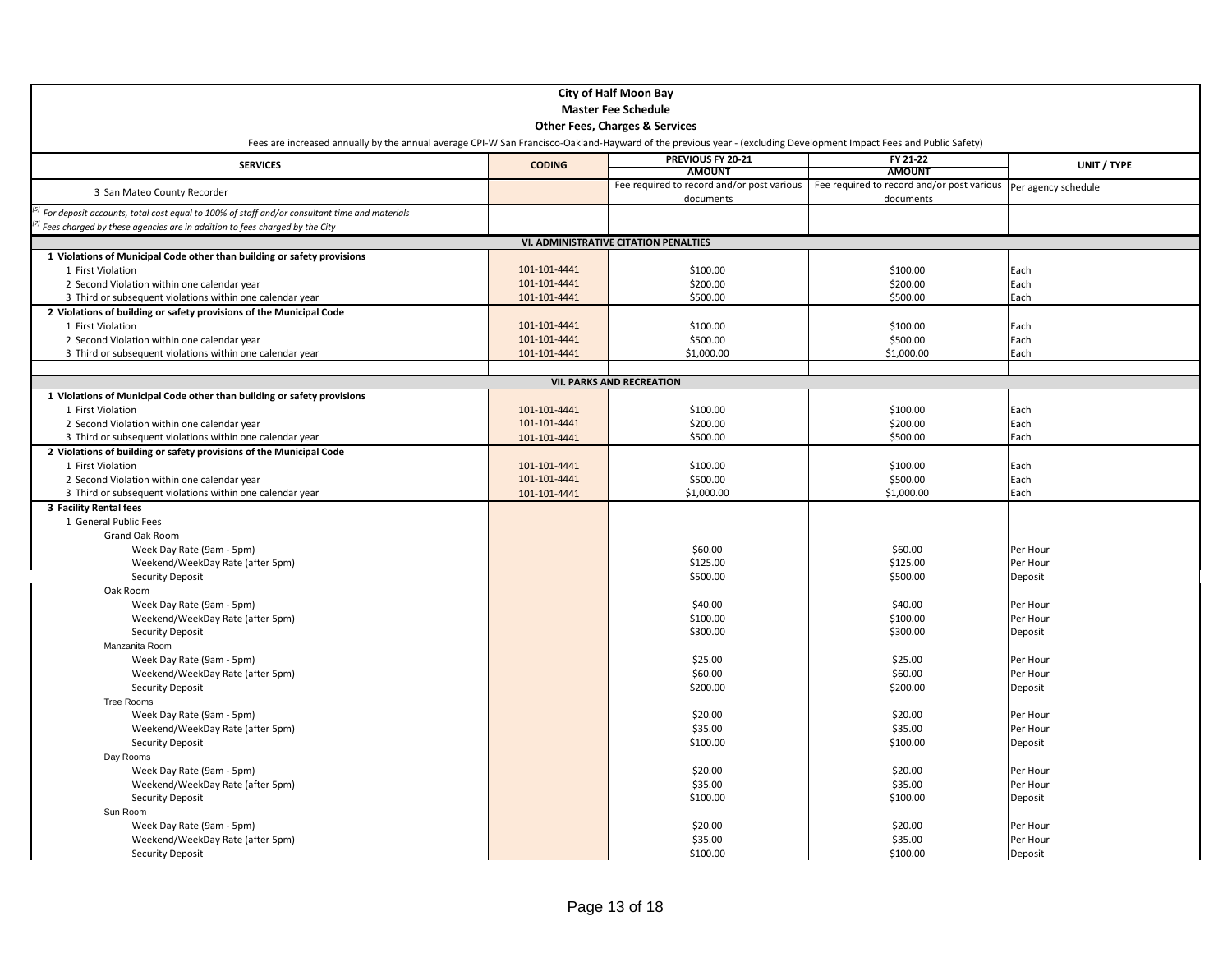|                                                                                                                                                                    |               | <b>City of Half Moon Bay</b>                            |                                                         |                     |
|--------------------------------------------------------------------------------------------------------------------------------------------------------------------|---------------|---------------------------------------------------------|---------------------------------------------------------|---------------------|
|                                                                                                                                                                    |               | <b>Master Fee Schedule</b>                              |                                                         |                     |
|                                                                                                                                                                    |               | <b>Other Fees, Charges &amp; Services</b>               |                                                         |                     |
| Fees are increased annually by the annual average CPI-W San Francisco-Oakland-Hayward of the previous year - (excluding Development Impact Fees and Public Safety) |               |                                                         |                                                         |                     |
| <b>SERVICES</b>                                                                                                                                                    | <b>CODING</b> | PREVIOUS FY 20-21                                       | FY 21-22                                                | UNIT / TYPE         |
|                                                                                                                                                                    |               | <b>AMOUNT</b>                                           | <b>AMOUNT</b>                                           |                     |
| 3 San Mateo County Recorder                                                                                                                                        |               | Fee required to record and/or post various<br>documents | Fee required to record and/or post various<br>documents | Per agency schedule |
| For deposit accounts, total cost equal to 100% of staff and/or consultant time and materials                                                                       |               |                                                         |                                                         |                     |
| Fees charged by these agencies are in addition to fees charged by the City                                                                                         |               |                                                         |                                                         |                     |
|                                                                                                                                                                    |               | VI. ADMINISTRATIVE CITATION PENALTIES                   |                                                         |                     |
| 1 Violations of Municipal Code other than building or safety provisions                                                                                            |               |                                                         |                                                         |                     |
| 1 First Violation                                                                                                                                                  | 101-101-4441  | \$100.00                                                | \$100.00                                                | Each                |
| 2 Second Violation within one calendar year                                                                                                                        | 101-101-4441  | \$200.00                                                | \$200.00                                                | Each                |
| 3 Third or subsequent violations within one calendar year                                                                                                          | 101-101-4441  | \$500.00                                                | \$500.00                                                | Each                |
| 2 Violations of building or safety provisions of the Municipal Code                                                                                                |               |                                                         |                                                         |                     |
| 1 First Violation                                                                                                                                                  | 101-101-4441  | \$100.00                                                | \$100.00                                                | Each                |
| 2 Second Violation within one calendar year                                                                                                                        | 101-101-4441  | \$500.00                                                | \$500.00                                                | Each                |
| 3 Third or subsequent violations within one calendar year                                                                                                          | 101-101-4441  | \$1,000.00                                              | \$1,000.00                                              | Each                |
|                                                                                                                                                                    |               |                                                         |                                                         |                     |
|                                                                                                                                                                    |               | <b>VII. PARKS AND RECREATION</b>                        |                                                         |                     |
| 1 Violations of Municipal Code other than building or safety provisions                                                                                            |               |                                                         |                                                         |                     |
| 1 First Violation                                                                                                                                                  | 101-101-4441  | \$100.00                                                | \$100.00                                                | Each                |
| 2 Second Violation within one calendar year                                                                                                                        | 101-101-4441  | \$200.00                                                | \$200.00                                                | Each                |
| 3 Third or subsequent violations within one calendar year                                                                                                          | 101-101-4441  | \$500.00                                                | \$500.00                                                | Each                |
| 2 Violations of building or safety provisions of the Municipal Code                                                                                                |               |                                                         |                                                         |                     |
| 1 First Violation                                                                                                                                                  | 101-101-4441  | \$100.00                                                | \$100.00                                                | Each                |
| 2 Second Violation within one calendar year                                                                                                                        | 101-101-4441  | \$500.00                                                | \$500.00                                                | Each<br>Each        |
| 3 Third or subsequent violations within one calendar year<br>3 Facility Rental fees                                                                                | 101-101-4441  | \$1,000.00                                              | \$1,000.00                                              |                     |
| 1 General Public Fees                                                                                                                                              |               |                                                         |                                                         |                     |
| Grand Oak Room                                                                                                                                                     |               |                                                         |                                                         |                     |
| Week Day Rate (9am - 5pm)                                                                                                                                          |               | \$60.00                                                 | \$60.00                                                 | Per Hour            |
| Weekend/WeekDay Rate (after 5pm)                                                                                                                                   |               | \$125.00                                                | \$125.00                                                | Per Hour            |
| Security Deposit                                                                                                                                                   |               | \$500.00                                                | \$500.00                                                | Deposit             |
| Oak Room                                                                                                                                                           |               |                                                         |                                                         |                     |
| Week Day Rate (9am - 5pm)                                                                                                                                          |               | \$40.00                                                 | \$40.00                                                 | Per Hour            |
| Weekend/WeekDay Rate (after 5pm)                                                                                                                                   |               | \$100.00                                                | \$100.00                                                | Per Hour            |
| <b>Security Deposit</b>                                                                                                                                            |               | \$300.00                                                | \$300.00                                                | Deposit             |
| Manzanita Room                                                                                                                                                     |               |                                                         |                                                         |                     |
| Week Day Rate (9am - 5pm)                                                                                                                                          |               | \$25.00                                                 | \$25.00                                                 | Per Hour            |
| Weekend/WeekDay Rate (after 5pm)                                                                                                                                   |               | \$60.00                                                 | \$60.00                                                 | Per Hour            |
| <b>Security Deposit</b>                                                                                                                                            |               | \$200.00                                                | \$200.00                                                | Deposit             |
| Tree Rooms                                                                                                                                                         |               |                                                         |                                                         |                     |
| Week Day Rate (9am - 5pm)                                                                                                                                          |               | \$20.00                                                 | \$20.00                                                 | Per Hour            |
| Weekend/WeekDay Rate (after 5pm)                                                                                                                                   |               | \$35.00                                                 | \$35.00                                                 | Per Hour            |
| <b>Security Deposit</b>                                                                                                                                            |               | \$100.00                                                | \$100.00                                                | Deposit             |
| Day Rooms                                                                                                                                                          |               |                                                         |                                                         |                     |
| Week Day Rate (9am - 5pm)                                                                                                                                          |               | \$20.00                                                 | \$20.00                                                 | Per Hour            |
| Weekend/WeekDay Rate (after 5pm)                                                                                                                                   |               | \$35.00                                                 | \$35.00                                                 | Per Hour            |
| <b>Security Deposit</b>                                                                                                                                            |               | \$100.00                                                | \$100.00                                                | Deposit             |
| Sun Room                                                                                                                                                           |               |                                                         |                                                         |                     |
| Week Day Rate (9am - 5pm)                                                                                                                                          |               | \$20.00                                                 | \$20.00                                                 | Per Hour            |
| Weekend/WeekDay Rate (after 5pm)                                                                                                                                   |               | \$35.00                                                 | \$35.00                                                 | Per Hour            |
| <b>Security Deposit</b>                                                                                                                                            |               | \$100.00                                                | \$100.00                                                | Deposit             |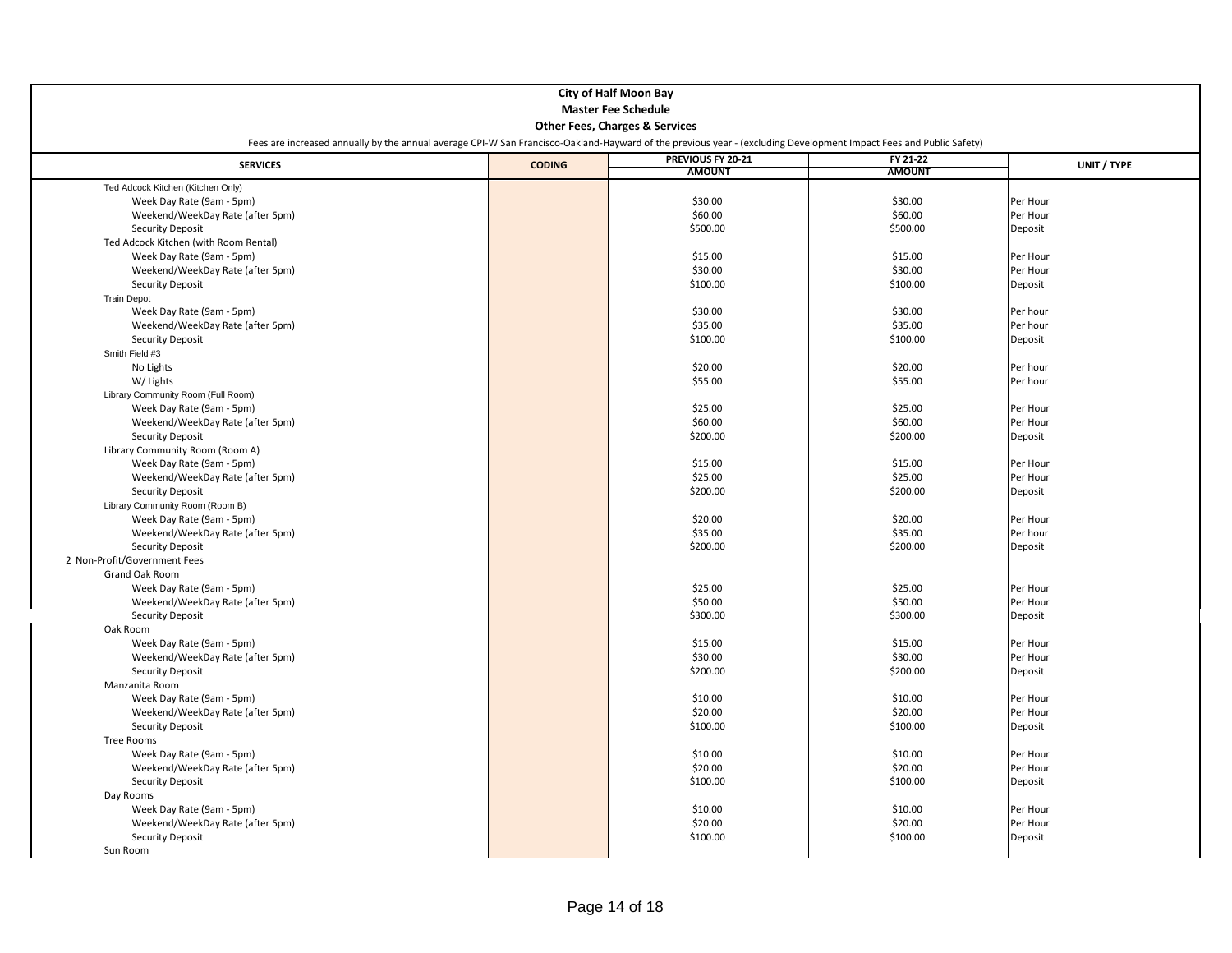|                                       | <b>City of Half Moon Bay</b><br><b>Master Fee Schedule</b><br><b>Other Fees, Charges &amp; Services</b><br>Fees are increased annually by the annual average CPI-W San Francisco-Oakland-Hayward of the previous year - (excluding Development Impact Fees and Public Safety) |                   |               |             |  |  |
|---------------------------------------|-------------------------------------------------------------------------------------------------------------------------------------------------------------------------------------------------------------------------------------------------------------------------------|-------------------|---------------|-------------|--|--|
|                                       |                                                                                                                                                                                                                                                                               | PREVIOUS FY 20-21 | FY 21-22      |             |  |  |
| <b>SERVICES</b>                       | <b>CODING</b>                                                                                                                                                                                                                                                                 | <b>AMOUNT</b>     | <b>AMOUNT</b> | UNIT / TYPE |  |  |
| Ted Adcock Kitchen (Kitchen Only)     |                                                                                                                                                                                                                                                                               |                   |               |             |  |  |
| Week Day Rate (9am - 5pm)             |                                                                                                                                                                                                                                                                               | \$30.00           | \$30.00       | Per Hour    |  |  |
| Weekend/WeekDay Rate (after 5pm)      |                                                                                                                                                                                                                                                                               | \$60.00           | \$60.00       | Per Hour    |  |  |
| <b>Security Deposit</b>               |                                                                                                                                                                                                                                                                               | \$500.00          | \$500.00      | Deposit     |  |  |
| Ted Adcock Kitchen (with Room Rental) |                                                                                                                                                                                                                                                                               |                   |               |             |  |  |
| Week Day Rate (9am - 5pm)             |                                                                                                                                                                                                                                                                               | \$15.00           | \$15.00       | Per Hour    |  |  |
| Weekend/WeekDay Rate (after 5pm)      |                                                                                                                                                                                                                                                                               | \$30.00           | \$30.00       | Per Hour    |  |  |
| <b>Security Deposit</b>               |                                                                                                                                                                                                                                                                               | \$100.00          | \$100.00      | Deposit     |  |  |
| <b>Train Depot</b>                    |                                                                                                                                                                                                                                                                               |                   |               |             |  |  |
| Week Day Rate (9am - 5pm)             |                                                                                                                                                                                                                                                                               | \$30.00           | \$30.00       | Per hour    |  |  |
| Weekend/WeekDay Rate (after 5pm)      |                                                                                                                                                                                                                                                                               | \$35.00           | \$35.00       | Per hour    |  |  |
| <b>Security Deposit</b>               |                                                                                                                                                                                                                                                                               | \$100.00          | \$100.00      | Deposit     |  |  |
| Smith Field #3                        |                                                                                                                                                                                                                                                                               |                   |               |             |  |  |
| No Lights                             |                                                                                                                                                                                                                                                                               | \$20.00           | \$20.00       | Per hour    |  |  |
| W/ Lights                             |                                                                                                                                                                                                                                                                               | \$55.00           | \$55.00       | Per hour    |  |  |
| Library Community Room (Full Room)    |                                                                                                                                                                                                                                                                               |                   |               |             |  |  |
| Week Day Rate (9am - 5pm)             |                                                                                                                                                                                                                                                                               | \$25.00           | \$25.00       | Per Hour    |  |  |
| Weekend/WeekDay Rate (after 5pm)      |                                                                                                                                                                                                                                                                               | \$60.00           | \$60.00       | Per Hour    |  |  |
| <b>Security Deposit</b>               |                                                                                                                                                                                                                                                                               | \$200.00          | \$200.00      | Deposit     |  |  |
| Library Community Room (Room A)       |                                                                                                                                                                                                                                                                               |                   |               |             |  |  |
| Week Day Rate (9am - 5pm)             |                                                                                                                                                                                                                                                                               | \$15.00           | \$15.00       | Per Hour    |  |  |
| Weekend/WeekDay Rate (after 5pm)      |                                                                                                                                                                                                                                                                               | \$25.00           | \$25.00       | Per Hour    |  |  |
| <b>Security Deposit</b>               |                                                                                                                                                                                                                                                                               | \$200.00          | \$200.00      | Deposit     |  |  |
| Library Community Room (Room B)       |                                                                                                                                                                                                                                                                               |                   |               |             |  |  |
| Week Day Rate (9am - 5pm)             |                                                                                                                                                                                                                                                                               | \$20.00           | \$20.00       | Per Hour    |  |  |
| Weekend/WeekDay Rate (after 5pm)      |                                                                                                                                                                                                                                                                               | \$35.00           | \$35.00       | Per hour    |  |  |
| <b>Security Deposit</b>               |                                                                                                                                                                                                                                                                               | \$200.00          | \$200.00      | Deposit     |  |  |
| 2 Non-Profit/Government Fees          |                                                                                                                                                                                                                                                                               |                   |               |             |  |  |
| Grand Oak Room                        |                                                                                                                                                                                                                                                                               |                   |               |             |  |  |
| Week Day Rate (9am - 5pm)             |                                                                                                                                                                                                                                                                               | \$25.00           | \$25.00       | Per Hour    |  |  |
| Weekend/WeekDay Rate (after 5pm)      |                                                                                                                                                                                                                                                                               | \$50.00           | \$50.00       | Per Hour    |  |  |
| <b>Security Deposit</b>               |                                                                                                                                                                                                                                                                               | \$300.00          | \$300.00      | Deposit     |  |  |
| Oak Room                              |                                                                                                                                                                                                                                                                               |                   |               |             |  |  |
| Week Day Rate (9am - 5pm)             |                                                                                                                                                                                                                                                                               | \$15.00           | \$15.00       | Per Hour    |  |  |
| Weekend/WeekDay Rate (after 5pm)      |                                                                                                                                                                                                                                                                               | \$30.00           | \$30.00       | Per Hour    |  |  |
| <b>Security Deposit</b>               |                                                                                                                                                                                                                                                                               | \$200.00          | \$200.00      | Deposit     |  |  |
| Manzanita Room                        |                                                                                                                                                                                                                                                                               |                   |               |             |  |  |
| Week Day Rate (9am - 5pm)             |                                                                                                                                                                                                                                                                               | \$10.00           | \$10.00       | Per Hour    |  |  |
| Weekend/WeekDay Rate (after 5pm)      |                                                                                                                                                                                                                                                                               | \$20.00           | \$20.00       | Per Hour    |  |  |
| <b>Security Deposit</b>               |                                                                                                                                                                                                                                                                               | \$100.00          | \$100.00      | Deposit     |  |  |
| Tree Rooms                            |                                                                                                                                                                                                                                                                               |                   |               |             |  |  |
| Week Day Rate (9am - 5pm)             |                                                                                                                                                                                                                                                                               | \$10.00           | \$10.00       | Per Hour    |  |  |
| Weekend/WeekDay Rate (after 5pm)      |                                                                                                                                                                                                                                                                               | \$20.00           | \$20.00       | Per Hour    |  |  |
| <b>Security Deposit</b>               |                                                                                                                                                                                                                                                                               | \$100.00          | \$100.00      | Deposit     |  |  |
| Day Rooms                             |                                                                                                                                                                                                                                                                               |                   |               |             |  |  |
| Week Day Rate (9am - 5pm)             |                                                                                                                                                                                                                                                                               | \$10.00           | \$10.00       | Per Hour    |  |  |
| Weekend/WeekDay Rate (after 5pm)      |                                                                                                                                                                                                                                                                               | \$20.00           | \$20.00       | Per Hour    |  |  |
| <b>Security Deposit</b>               |                                                                                                                                                                                                                                                                               | \$100.00          | \$100.00      | Deposit     |  |  |
| Sun Room                              |                                                                                                                                                                                                                                                                               |                   |               |             |  |  |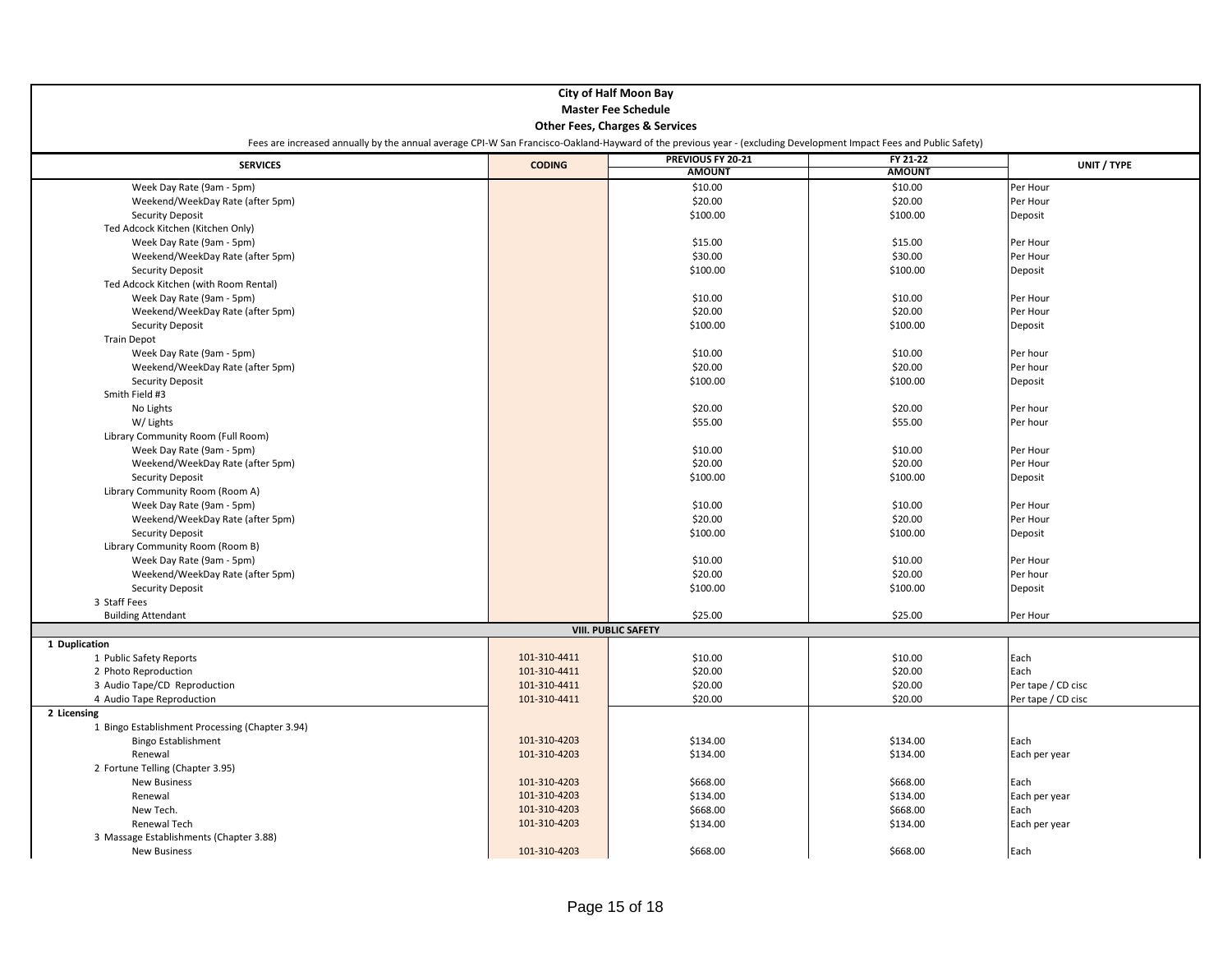|                                                 |                                                                                                                                                                    | <b>City of Half Moon Bay</b> |               |                    |  |  |  |  |
|-------------------------------------------------|--------------------------------------------------------------------------------------------------------------------------------------------------------------------|------------------------------|---------------|--------------------|--|--|--|--|
|                                                 | <b>Master Fee Schedule</b>                                                                                                                                         |                              |               |                    |  |  |  |  |
|                                                 | <b>Other Fees, Charges &amp; Services</b>                                                                                                                          |                              |               |                    |  |  |  |  |
|                                                 | Fees are increased annually by the annual average CPI-W San Francisco-Oakland-Hayward of the previous year - (excluding Development Impact Fees and Public Safety) |                              |               |                    |  |  |  |  |
|                                                 |                                                                                                                                                                    |                              |               |                    |  |  |  |  |
| <b>SERVICES</b>                                 | <b>CODING</b>                                                                                                                                                      | PREVIOUS FY 20-21            | FY 21-22      | UNIT / TYPE        |  |  |  |  |
|                                                 |                                                                                                                                                                    | <b>AMOUNT</b>                | <b>AMOUNT</b> |                    |  |  |  |  |
| Week Day Rate (9am - 5pm)                       |                                                                                                                                                                    | \$10.00                      | \$10.00       | Per Hour           |  |  |  |  |
| Weekend/WeekDay Rate (after 5pm)                |                                                                                                                                                                    | \$20.00                      | \$20.00       | Per Hour           |  |  |  |  |
| <b>Security Deposit</b>                         |                                                                                                                                                                    | \$100.00                     | \$100.00      | Deposit            |  |  |  |  |
| Ted Adcock Kitchen (Kitchen Only)               |                                                                                                                                                                    |                              |               |                    |  |  |  |  |
| Week Day Rate (9am - 5pm)                       |                                                                                                                                                                    | \$15.00                      | \$15.00       | Per Hour           |  |  |  |  |
| Weekend/WeekDay Rate (after 5pm)                |                                                                                                                                                                    | \$30.00                      | \$30.00       | Per Hour           |  |  |  |  |
| <b>Security Deposit</b>                         |                                                                                                                                                                    | \$100.00                     | \$100.00      | Deposit            |  |  |  |  |
| Ted Adcock Kitchen (with Room Rental)           |                                                                                                                                                                    |                              |               |                    |  |  |  |  |
| Week Day Rate (9am - 5pm)                       |                                                                                                                                                                    | \$10.00                      | \$10.00       | Per Hour           |  |  |  |  |
| Weekend/WeekDay Rate (after 5pm)                |                                                                                                                                                                    | \$20.00                      | \$20.00       | Per Hour           |  |  |  |  |
| <b>Security Deposit</b>                         |                                                                                                                                                                    | \$100.00                     | \$100.00      | Deposit            |  |  |  |  |
|                                                 |                                                                                                                                                                    |                              |               |                    |  |  |  |  |
| <b>Train Depot</b>                              |                                                                                                                                                                    |                              |               |                    |  |  |  |  |
| Week Day Rate (9am - 5pm)                       |                                                                                                                                                                    | \$10.00                      | \$10.00       | Per hour           |  |  |  |  |
| Weekend/WeekDay Rate (after 5pm)                |                                                                                                                                                                    | \$20.00                      | \$20.00       | Per hour           |  |  |  |  |
| <b>Security Deposit</b>                         |                                                                                                                                                                    | \$100.00                     | \$100.00      | Deposit            |  |  |  |  |
| Smith Field #3                                  |                                                                                                                                                                    |                              |               |                    |  |  |  |  |
| No Lights                                       |                                                                                                                                                                    | \$20.00                      | \$20.00       | Per hour           |  |  |  |  |
| W/ Lights                                       |                                                                                                                                                                    | \$55.00                      | \$55.00       | Per hour           |  |  |  |  |
| Library Community Room (Full Room)              |                                                                                                                                                                    |                              |               |                    |  |  |  |  |
| Week Day Rate (9am - 5pm)                       |                                                                                                                                                                    | \$10.00                      | \$10.00       | Per Hour           |  |  |  |  |
| Weekend/WeekDay Rate (after 5pm)                |                                                                                                                                                                    | \$20.00                      | \$20.00       | Per Hour           |  |  |  |  |
| <b>Security Deposit</b>                         |                                                                                                                                                                    | \$100.00                     | \$100.00      | Deposit            |  |  |  |  |
| Library Community Room (Room A)                 |                                                                                                                                                                    |                              |               |                    |  |  |  |  |
| Week Day Rate (9am - 5pm)                       |                                                                                                                                                                    | \$10.00                      | \$10.00       | Per Hour           |  |  |  |  |
| Weekend/WeekDay Rate (after 5pm)                |                                                                                                                                                                    | \$20.00                      | \$20.00       | Per Hour           |  |  |  |  |
| <b>Security Deposit</b>                         |                                                                                                                                                                    | \$100.00                     | \$100.00      | Deposit            |  |  |  |  |
| Library Community Room (Room B)                 |                                                                                                                                                                    |                              |               |                    |  |  |  |  |
| Week Day Rate (9am - 5pm)                       |                                                                                                                                                                    | \$10.00                      | \$10.00       | Per Hour           |  |  |  |  |
| Weekend/WeekDay Rate (after 5pm)                |                                                                                                                                                                    | \$20.00                      | \$20.00       | Per hour           |  |  |  |  |
| <b>Security Deposit</b>                         |                                                                                                                                                                    | \$100.00                     | \$100.00      | Deposit            |  |  |  |  |
| 3 Staff Fees                                    |                                                                                                                                                                    |                              |               |                    |  |  |  |  |
| <b>Building Attendant</b>                       |                                                                                                                                                                    | \$25.00                      | \$25.00       | Per Hour           |  |  |  |  |
|                                                 |                                                                                                                                                                    | <b>VIII. PUBLIC SAFETY</b>   |               |                    |  |  |  |  |
| 1 Duplication                                   |                                                                                                                                                                    |                              |               |                    |  |  |  |  |
| 1 Public Safety Reports                         | 101-310-4411                                                                                                                                                       | \$10.00                      | \$10.00       | Each               |  |  |  |  |
| 2 Photo Reproduction                            | 101-310-4411                                                                                                                                                       | \$20.00                      | \$20.00       | Each               |  |  |  |  |
| 3 Audio Tape/CD Reproduction                    | 101-310-4411                                                                                                                                                       | \$20.00                      | \$20.00       | Per tape / CD cisc |  |  |  |  |
|                                                 | 101-310-4411                                                                                                                                                       | \$20.00                      | \$20.00       |                    |  |  |  |  |
| 4 Audio Tape Reproduction<br>2 Licensing        |                                                                                                                                                                    |                              |               | Per tape / CD cisc |  |  |  |  |
|                                                 |                                                                                                                                                                    |                              |               |                    |  |  |  |  |
| 1 Bingo Establishment Processing (Chapter 3.94) |                                                                                                                                                                    |                              |               |                    |  |  |  |  |
| <b>Bingo Establishment</b>                      | 101-310-4203                                                                                                                                                       | \$134.00                     | \$134.00      | Each               |  |  |  |  |
| Renewal                                         | 101-310-4203                                                                                                                                                       | \$134.00                     | \$134.00      | Each per year      |  |  |  |  |
| 2 Fortune Telling (Chapter 3.95)                |                                                                                                                                                                    |                              |               |                    |  |  |  |  |
| <b>New Business</b>                             | 101-310-4203                                                                                                                                                       | \$668.00                     | \$668.00      | Each               |  |  |  |  |
| Renewal                                         | 101-310-4203                                                                                                                                                       | \$134.00                     | \$134.00      | Each per year      |  |  |  |  |
| New Tech.                                       | 101-310-4203                                                                                                                                                       | \$668.00                     | \$668.00      | Each               |  |  |  |  |
| Renewal Tech                                    | 101-310-4203                                                                                                                                                       | \$134.00                     | \$134.00      | Each per year      |  |  |  |  |
| 3 Massage Establishments (Chapter 3.88)         |                                                                                                                                                                    |                              |               |                    |  |  |  |  |
| <b>New Business</b>                             | 101-310-4203                                                                                                                                                       | \$668.00                     | \$668.00      | Each               |  |  |  |  |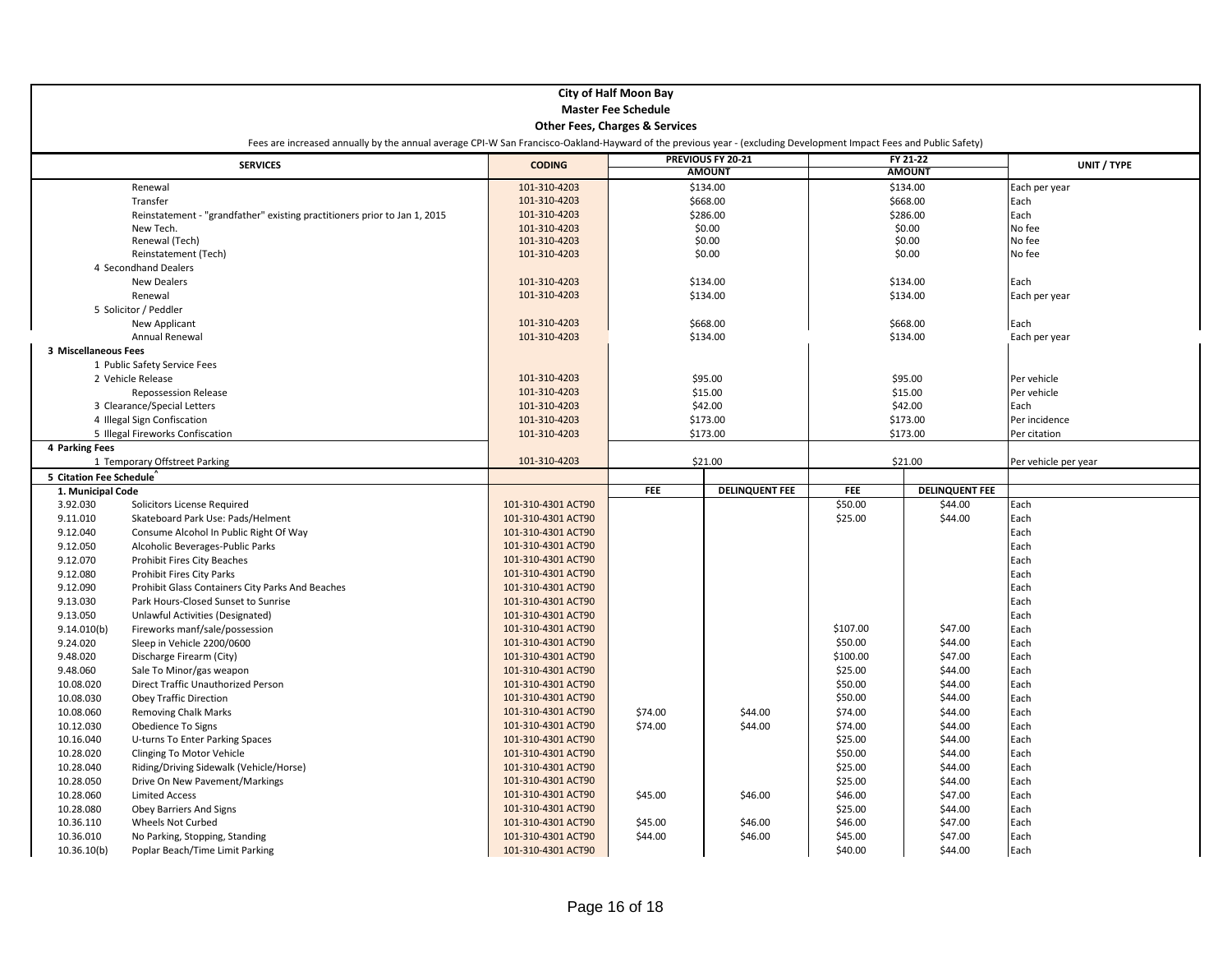|                         |                                                                                                                                                                    |                                          | <b>City of Half Moon Bay</b>              |                       |                    |                       |                      |
|-------------------------|--------------------------------------------------------------------------------------------------------------------------------------------------------------------|------------------------------------------|-------------------------------------------|-----------------------|--------------------|-----------------------|----------------------|
|                         |                                                                                                                                                                    |                                          | <b>Master Fee Schedule</b>                |                       |                    |                       |                      |
|                         |                                                                                                                                                                    |                                          | <b>Other Fees, Charges &amp; Services</b> |                       |                    |                       |                      |
|                         | Fees are increased annually by the annual average CPI-W San Francisco-Oakland-Hayward of the previous year - (excluding Development Impact Fees and Public Safety) |                                          |                                           |                       |                    |                       |                      |
|                         |                                                                                                                                                                    |                                          |                                           | PREVIOUS FY 20-21     |                    | FY 21-22              |                      |
|                         | <b>SERVICES</b>                                                                                                                                                    | <b>CODING</b>                            |                                           | <b>AMOUNT</b>         |                    | <b>AMOUNT</b>         | UNIT / TYPE          |
|                         | Renewal                                                                                                                                                            | 101-310-4203                             |                                           | \$134.00              |                    | \$134.00              | Each per year        |
|                         | Transfer                                                                                                                                                           | 101-310-4203                             |                                           | \$668.00              |                    | \$668.00              | Each                 |
|                         | Reinstatement - "grandfather" existing practitioners prior to Jan 1, 2015                                                                                          | 101-310-4203                             |                                           | \$286.00              |                    | \$286.00              | Each                 |
|                         | New Tech.                                                                                                                                                          | 101-310-4203                             |                                           | \$0.00                |                    | \$0.00                | No fee               |
|                         | Renewal (Tech)                                                                                                                                                     | 101-310-4203                             | \$0.00                                    |                       | \$0.00             |                       | No fee               |
|                         | Reinstatement (Tech)                                                                                                                                               | 101-310-4203                             |                                           | \$0.00                | \$0.00             |                       | No fee               |
|                         | 4 Secondhand Dealers                                                                                                                                               |                                          |                                           |                       |                    |                       |                      |
|                         | <b>New Dealers</b>                                                                                                                                                 | 101-310-4203                             |                                           | \$134.00              |                    | \$134.00              | Each                 |
|                         | Renewal                                                                                                                                                            | 101-310-4203                             | \$134.00                                  |                       | \$134.00           |                       | Each per year        |
|                         | 5 Solicitor / Peddler<br><b>New Applicant</b>                                                                                                                      | 101-310-4203                             | \$668.00                                  |                       |                    | \$668.00              | Each                 |
|                         | Annual Renewal                                                                                                                                                     | 101-310-4203                             |                                           | \$134.00              |                    | \$134.00              | Each per year        |
| 3 Miscellaneous Fees    |                                                                                                                                                                    |                                          |                                           |                       |                    |                       |                      |
|                         | 1 Public Safety Service Fees                                                                                                                                       |                                          |                                           |                       |                    |                       |                      |
|                         | 2 Vehicle Release                                                                                                                                                  | 101-310-4203                             |                                           | \$95.00               |                    | \$95.00               | Per vehicle          |
|                         | Repossession Release                                                                                                                                               | 101-310-4203                             |                                           | \$15.00               |                    | \$15.00               | Per vehicle          |
|                         | 3 Clearance/Special Letters                                                                                                                                        | 101-310-4203                             |                                           | \$42.00               |                    | \$42.00               | Each                 |
|                         | 4 Illegal Sign Confiscation                                                                                                                                        | 101-310-4203                             |                                           | \$173.00              |                    | \$173.00              | Per incidence        |
|                         | 5 Illegal Fireworks Confiscation                                                                                                                                   | 101-310-4203                             |                                           | \$173.00              |                    | \$173.00              | Per citation         |
| 4 Parking Fees          |                                                                                                                                                                    |                                          |                                           |                       |                    |                       |                      |
|                         | 1 Temporary Offstreet Parking                                                                                                                                      | 101-310-4203                             |                                           | \$21.00               |                    | \$21.00               | Per vehicle per year |
|                         |                                                                                                                                                                    |                                          |                                           |                       |                    |                       |                      |
| 5 Citation Fee Schedule |                                                                                                                                                                    |                                          |                                           |                       |                    |                       |                      |
| 1. Municipal Code       |                                                                                                                                                                    |                                          | <b>FEE</b>                                | <b>DELINQUENT FEE</b> | <b>FEE</b>         | <b>DELINQUENT FEE</b> |                      |
| 3.92.030                | Solicitors License Required                                                                                                                                        | 101-310-4301 ACT90                       |                                           |                       | \$50.00            | \$44.00               | Each                 |
| 9.11.010                | Skateboard Park Use: Pads/Helment                                                                                                                                  | 101-310-4301 ACT90                       |                                           |                       | \$25.00            | \$44.00               | Each                 |
| 9.12.040                | Consume Alcohol In Public Right Of Way                                                                                                                             | 101-310-4301 ACT90                       |                                           |                       |                    |                       | Each                 |
| 9.12.050                | Alcoholic Beverages-Public Parks                                                                                                                                   | 101-310-4301 ACT90                       |                                           |                       |                    |                       | Each                 |
| 9.12.070                | <b>Prohibit Fires City Beaches</b>                                                                                                                                 | 101-310-4301 ACT90                       |                                           |                       |                    |                       | Each                 |
| 9.12.080                | <b>Prohibit Fires City Parks</b>                                                                                                                                   | 101-310-4301 ACT90                       |                                           |                       |                    |                       | Each                 |
| 9.12.090                | Prohibit Glass Containers City Parks And Beaches<br>Park Hours-Closed Sunset to Sunrise                                                                            | 101-310-4301 ACT90<br>101-310-4301 ACT90 |                                           |                       |                    |                       | Each<br>Each         |
| 9.13.030<br>9.13.050    |                                                                                                                                                                    | 101-310-4301 ACT90                       |                                           |                       |                    |                       | Each                 |
| 9.14.010(b)             | Unlawful Activities (Designated)<br>Fireworks manf/sale/possession                                                                                                 | 101-310-4301 ACT90                       |                                           |                       | \$107.00           | \$47.00               | Each                 |
| 9.24.020                | Sleep in Vehicle 2200/0600                                                                                                                                         | 101-310-4301 ACT90                       |                                           |                       | \$50.00            | \$44.00               | Each                 |
| 9.48.020                | Discharge Firearm (City)                                                                                                                                           | 101-310-4301 ACT90                       |                                           |                       | \$100.00           | \$47.00               | Each                 |
| 9.48.060                | Sale To Minor/gas weapon                                                                                                                                           | 101-310-4301 ACT90                       |                                           |                       | \$25.00            | \$44.00               | Each                 |
| 10.08.020               | Direct Traffic Unauthorized Person                                                                                                                                 | 101-310-4301 ACT90                       |                                           |                       | \$50.00            | \$44.00               | Each                 |
| 10.08.030               | <b>Obey Traffic Direction</b>                                                                                                                                      | 101-310-4301 ACT90                       |                                           |                       | \$50.00            | \$44.00               | Each                 |
| 10.08.060               | <b>Removing Chalk Marks</b>                                                                                                                                        | 101-310-4301 ACT90                       | \$74.00                                   | \$44.00               | \$74.00            | \$44.00               | Each                 |
| 10.12.030               | Obedience To Signs                                                                                                                                                 | 101-310-4301 ACT90                       | \$74.00                                   | \$44.00               | \$74.00            | \$44.00               | Each                 |
| 10.16.040               | U-turns To Enter Parking Spaces                                                                                                                                    | 101-310-4301 ACT90                       |                                           |                       | \$25.00            | \$44.00               | Each                 |
| 10.28.020               | Clinging To Motor Vehicle                                                                                                                                          | 101-310-4301 ACT90                       |                                           |                       | \$50.00            | \$44.00               | Each                 |
| 10.28.040               | Riding/Driving Sidewalk (Vehicle/Horse)                                                                                                                            | 101-310-4301 ACT90                       |                                           |                       | \$25.00            | \$44.00               | Each                 |
| 10.28.050               | Drive On New Pavement/Markings                                                                                                                                     | 101-310-4301 ACT90                       |                                           |                       | \$25.00            | \$44.00               | Each                 |
| 10.28.060               | <b>Limited Access</b>                                                                                                                                              | 101-310-4301 ACT90                       | \$45.00                                   | \$46.00               | \$46.00            | \$47.00               | Each                 |
| 10.28.080               | Obey Barriers And Signs                                                                                                                                            | 101-310-4301 ACT90<br>101-310-4301 ACT90 |                                           |                       | \$25.00<br>\$46.00 | \$44.00               | Each<br>Each         |
| 10.36.110<br>10.36.010  | Wheels Not Curbed<br>No Parking, Stopping, Standing                                                                                                                | 101-310-4301 ACT90                       | \$45.00<br>\$44.00                        | \$46.00<br>\$46.00    | \$45.00            | \$47.00<br>\$47.00    | Each                 |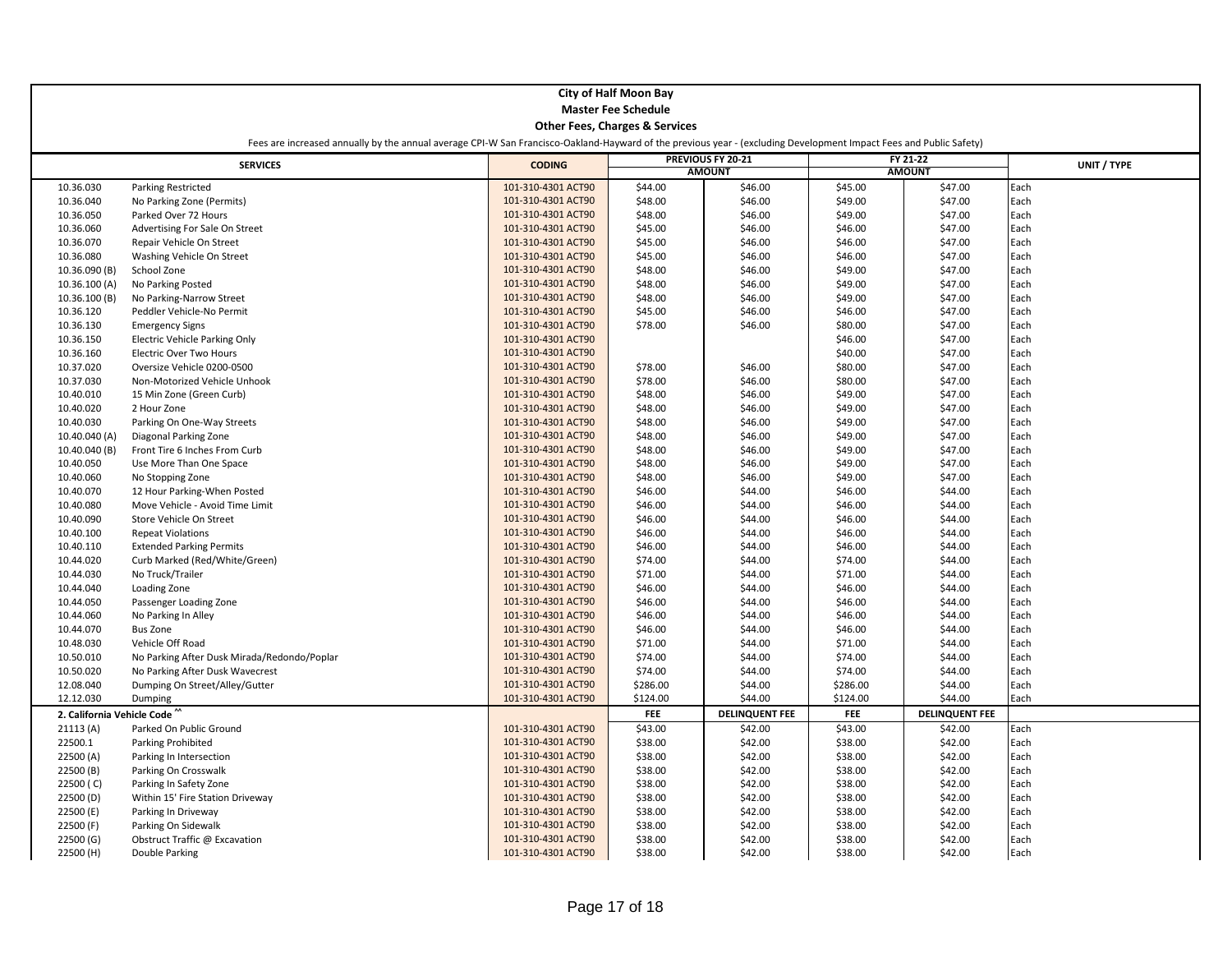|                            |                                                                                                                                                                    |                    | <b>City of Half Moon Bay</b>              |                       |            |                       |             |
|----------------------------|--------------------------------------------------------------------------------------------------------------------------------------------------------------------|--------------------|-------------------------------------------|-----------------------|------------|-----------------------|-------------|
|                            |                                                                                                                                                                    |                    |                                           |                       |            |                       |             |
| <b>Master Fee Schedule</b> |                                                                                                                                                                    |                    |                                           |                       |            |                       |             |
|                            |                                                                                                                                                                    |                    | <b>Other Fees, Charges &amp; Services</b> |                       |            |                       |             |
|                            | Fees are increased annually by the annual average CPI-W San Francisco-Oakland-Hayward of the previous year - (excluding Development Impact Fees and Public Safety) |                    |                                           |                       |            |                       |             |
|                            | <b>SERVICES</b>                                                                                                                                                    | <b>CODING</b>      |                                           | PREVIOUS FY 20-21     |            | FY 21-22              | UNIT / TYPE |
|                            |                                                                                                                                                                    |                    |                                           | <b>AMOUNT</b>         |            | <b>AMOUNT</b>         |             |
| 10.36.030                  | <b>Parking Restricted</b>                                                                                                                                          | 101-310-4301 ACT90 | \$44.00                                   | \$46.00               | \$45.00    | \$47.00               | Each        |
| 10.36.040                  | No Parking Zone (Permits)                                                                                                                                          | 101-310-4301 ACT90 | \$48.00                                   | \$46.00               | \$49.00    | \$47.00               | Each        |
| 10.36.050                  | Parked Over 72 Hours                                                                                                                                               | 101-310-4301 ACT90 | \$48.00                                   | \$46.00               | \$49.00    | \$47.00               | Each        |
| 10.36.060                  | Advertising For Sale On Street                                                                                                                                     | 101-310-4301 ACT90 | \$45.00                                   | \$46.00               | \$46.00    | \$47.00               | Each        |
| 10.36.070                  | Repair Vehicle On Street                                                                                                                                           | 101-310-4301 ACT90 | \$45.00                                   | \$46.00               | \$46.00    | \$47.00               | Each        |
| 10.36.080                  | Washing Vehicle On Street                                                                                                                                          | 101-310-4301 ACT90 | \$45.00                                   | \$46.00               | \$46.00    | \$47.00               | Each        |
| 10.36.090 (B)              | School Zone                                                                                                                                                        | 101-310-4301 ACT90 | \$48.00                                   | \$46.00               | \$49.00    | \$47.00               | Each        |
| 10.36.100 (A)              | No Parking Posted                                                                                                                                                  | 101-310-4301 ACT90 | \$48.00                                   | \$46.00               | \$49.00    | \$47.00               | Each        |
| 10.36.100 (B)              | No Parking-Narrow Street                                                                                                                                           | 101-310-4301 ACT90 | \$48.00                                   | \$46.00               | \$49.00    | \$47.00               | Each        |
| 10.36.120                  | Peddler Vehicle-No Permit                                                                                                                                          | 101-310-4301 ACT90 | \$45.00                                   | \$46.00               | \$46.00    | \$47.00               | Each        |
| 10.36.130                  | <b>Emergency Signs</b>                                                                                                                                             | 101-310-4301 ACT90 | \$78.00                                   | \$46.00               | \$80.00    | \$47.00               | Each        |
| 10.36.150                  | <b>Electric Vehicle Parking Only</b>                                                                                                                               | 101-310-4301 ACT90 |                                           |                       | \$46.00    | \$47.00               | Each        |
| 10.36.160                  | <b>Electric Over Two Hours</b>                                                                                                                                     | 101-310-4301 ACT90 |                                           |                       | \$40.00    | \$47.00               | Each        |
| 10.37.020                  | Oversize Vehicle 0200-0500                                                                                                                                         | 101-310-4301 ACT90 | \$78.00                                   | \$46.00               | \$80.00    | \$47.00               | Each        |
| 10.37.030                  | Non-Motorized Vehicle Unhook                                                                                                                                       | 101-310-4301 ACT90 | \$78.00                                   | \$46.00               | \$80.00    | \$47.00               | Each        |
| 10.40.010                  | 15 Min Zone (Green Curb)                                                                                                                                           | 101-310-4301 ACT90 | \$48.00                                   | \$46.00               | \$49.00    | \$47.00               | Each        |
| 10.40.020                  | 2 Hour Zone                                                                                                                                                        | 101-310-4301 ACT90 | \$48.00                                   | \$46.00               | \$49.00    | \$47.00               | Each        |
| 10.40.030                  | Parking On One-Way Streets                                                                                                                                         | 101-310-4301 ACT90 | \$48.00                                   | \$46.00               | \$49.00    | \$47.00               | Each        |
| 10.40.040 (A)              | Diagonal Parking Zone                                                                                                                                              | 101-310-4301 ACT90 | \$48.00                                   | \$46.00               | \$49.00    | \$47.00               | Each        |
| 10.40.040 (B)              | Front Tire 6 Inches From Curb                                                                                                                                      | 101-310-4301 ACT90 | \$48.00                                   | \$46.00               | \$49.00    | \$47.00               | Each        |
| 10.40.050                  | Use More Than One Space                                                                                                                                            | 101-310-4301 ACT90 | \$48.00                                   | \$46.00               | \$49.00    | \$47.00               | Each        |
| 10.40.060                  | No Stopping Zone                                                                                                                                                   | 101-310-4301 ACT90 | \$48.00                                   | \$46.00               | \$49.00    | \$47.00               | Each        |
| 10.40.070                  | 12 Hour Parking-When Posted                                                                                                                                        | 101-310-4301 ACT90 | \$46.00                                   | \$44.00               | \$46.00    | \$44.00               | Each        |
| 10.40.080                  | Move Vehicle - Avoid Time Limit                                                                                                                                    | 101-310-4301 ACT90 | \$46.00                                   | \$44.00               | \$46.00    | \$44.00               | Each        |
| 10.40.090                  | Store Vehicle On Street                                                                                                                                            | 101-310-4301 ACT90 | \$46.00                                   | \$44.00               | \$46.00    | \$44.00               | Each        |
| 10.40.100                  | <b>Repeat Violations</b>                                                                                                                                           | 101-310-4301 ACT90 | \$46.00                                   | \$44.00               | \$46.00    | \$44.00               | Each        |
| 10.40.110                  | <b>Extended Parking Permits</b>                                                                                                                                    | 101-310-4301 ACT90 | \$46.00                                   | \$44.00               | \$46.00    | \$44.00               | Each        |
| 10.44.020                  | Curb Marked (Red/White/Green)                                                                                                                                      | 101-310-4301 ACT90 | \$74.00                                   | \$44.00               | \$74.00    | \$44.00               | Each        |
| 10.44.030                  | No Truck/Trailer                                                                                                                                                   | 101-310-4301 ACT90 | \$71.00                                   | \$44.00               | \$71.00    | \$44.00               | Each        |
| 10.44.040                  | Loading Zone                                                                                                                                                       | 101-310-4301 ACT90 | \$46.00                                   | \$44.00               | \$46.00    | \$44.00               | Each        |
| 10.44.050                  | Passenger Loading Zone                                                                                                                                             | 101-310-4301 ACT90 | \$46.00                                   | \$44.00               | \$46.00    | \$44.00               | Each        |
| 10.44.060                  | No Parking In Alley                                                                                                                                                | 101-310-4301 ACT90 | \$46.00                                   | \$44.00               | \$46.00    | \$44.00               | Each        |
| 10.44.070                  | <b>Bus Zone</b>                                                                                                                                                    | 101-310-4301 ACT90 | \$46.00                                   | \$44.00               | \$46.00    | \$44.00               | Each        |
| 10.48.030                  | Vehicle Off Road                                                                                                                                                   | 101-310-4301 ACT90 | \$71.00                                   | \$44.00               | \$71.00    | \$44.00               | Each        |
| 10.50.010                  | No Parking After Dusk Mirada/Redondo/Poplar                                                                                                                        | 101-310-4301 ACT90 | \$74.00                                   | \$44.00               | \$74.00    | \$44.00               | Each        |
| 10.50.020                  | No Parking After Dusk Wavecrest                                                                                                                                    | 101-310-4301 ACT90 | \$74.00                                   | \$44.00               | \$74.00    | \$44.00               | Each        |
| 12.08.040                  | Dumping On Street/Alley/Gutter                                                                                                                                     | 101-310-4301 ACT90 | \$286.00                                  | \$44.00               | \$286.00   | \$44.00               | Each        |
| 12.12.030                  | Dumping                                                                                                                                                            | 101-310-4301 ACT90 | \$124.00                                  | \$44.00               | \$124.00   | \$44.00               | Each        |
| 2. California Vehicle Code |                                                                                                                                                                    |                    | FEE                                       | <b>DELINQUENT FEE</b> | <b>FEE</b> | <b>DELINQUENT FEE</b> |             |
| 21113(A)                   | Parked On Public Ground                                                                                                                                            | 101-310-4301 ACT90 | \$43.00                                   | \$42.00               | \$43.00    | \$42.00               | Each        |
| 22500.1                    | Parking Prohibited                                                                                                                                                 | 101-310-4301 ACT90 | \$38.00                                   | \$42.00               | \$38.00    | \$42.00               | Each        |
| 22500 (A)                  | Parking In Intersection                                                                                                                                            | 101-310-4301 ACT90 | \$38.00                                   | \$42.00               | \$38.00    | \$42.00               | Each        |
| 22500 (B)                  | Parking On Crosswalk                                                                                                                                               | 101-310-4301 ACT90 | \$38.00                                   | \$42.00               | \$38.00    | \$42.00               | Each        |
| 22500 (C)                  | Parking In Safety Zone                                                                                                                                             | 101-310-4301 ACT90 | \$38.00                                   | \$42.00               | \$38.00    | \$42.00               | Each        |
| 22500 (D)                  | Within 15' Fire Station Driveway                                                                                                                                   | 101-310-4301 ACT90 | \$38.00                                   | \$42.00               | \$38.00    | \$42.00               | Each        |
| 22500 (E)                  | Parking In Driveway                                                                                                                                                | 101-310-4301 ACT90 | \$38.00                                   | \$42.00               | \$38.00    | \$42.00               | Each        |
| 22500 (F)                  | Parking On Sidewalk                                                                                                                                                | 101-310-4301 ACT90 | \$38.00                                   | \$42.00               | \$38.00    | \$42.00               | Each        |
| 22500(G)                   | Obstruct Traffic @ Excavation                                                                                                                                      | 101-310-4301 ACT90 | \$38.00                                   | \$42.00               | \$38.00    | \$42.00               | Each        |
| 22500 (H)                  | Double Parking                                                                                                                                                     | 101-310-4301 ACT90 | \$38.00                                   | \$42.00               | \$38.00    | \$42.00               | Each        |